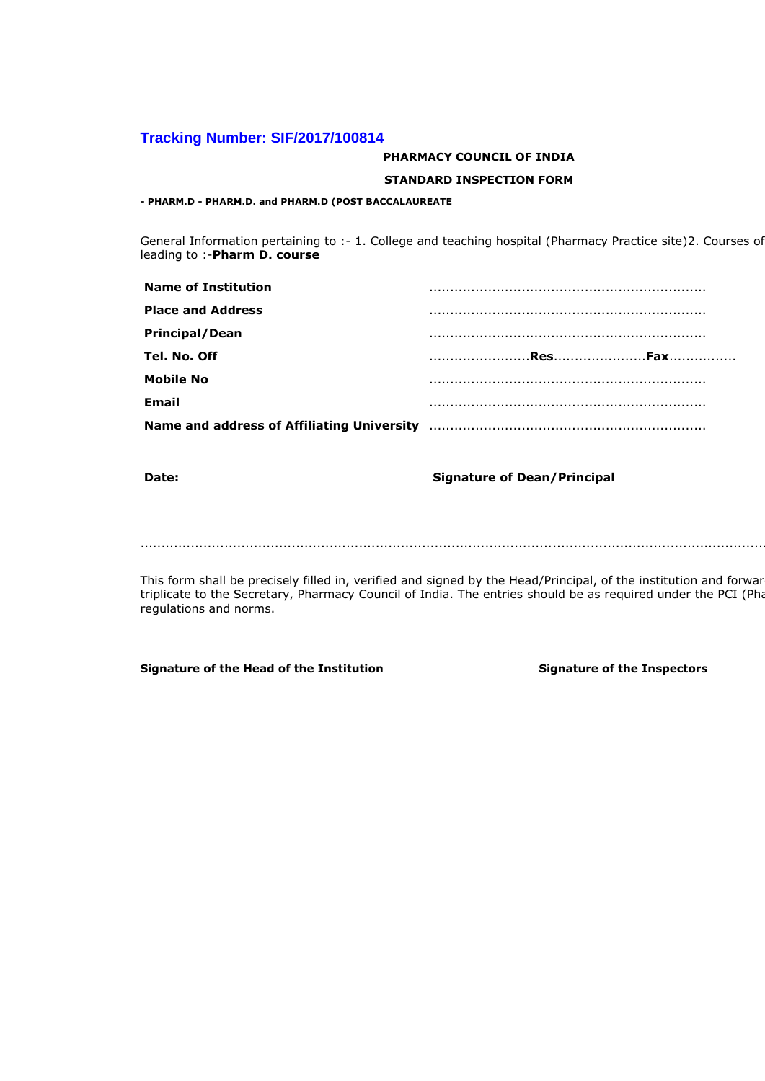## **Tracking Number: SIF/2017/100814**

### **PHARMACY COUNCIL OF INDIA**

#### **STANDARD INSPECTION FORM**

**- PHARM.D - PHARM.D. and PHARM.D (POST BACCALAUREATE** 

General Information pertaining to :- 1. College and teaching hospital (Pharmacy Practice site)2. Courses of leading to :-**Pharm D. course**

| <b>Name of Institution</b>                 |  |
|--------------------------------------------|--|
| <b>Place and Address</b>                   |  |
| <b>Principal/Dean</b>                      |  |
| Tel. No. Off                               |  |
| <b>Mobile No</b>                           |  |
| <b>Email</b>                               |  |
| Name and address of Affiliating University |  |

## **Date: Date: Signature of Dean/Principal**

.................................................................................................................................................................

This form shall be precisely filled in, verified and signed by the Head/Principal, of the institution and forwar triplicate to the Secretary, Pharmacy Council of India. The entries should be as required under the PCI (Pha regulations and norms.

Signature of the Head of the Institution **Signature of the Inspectors**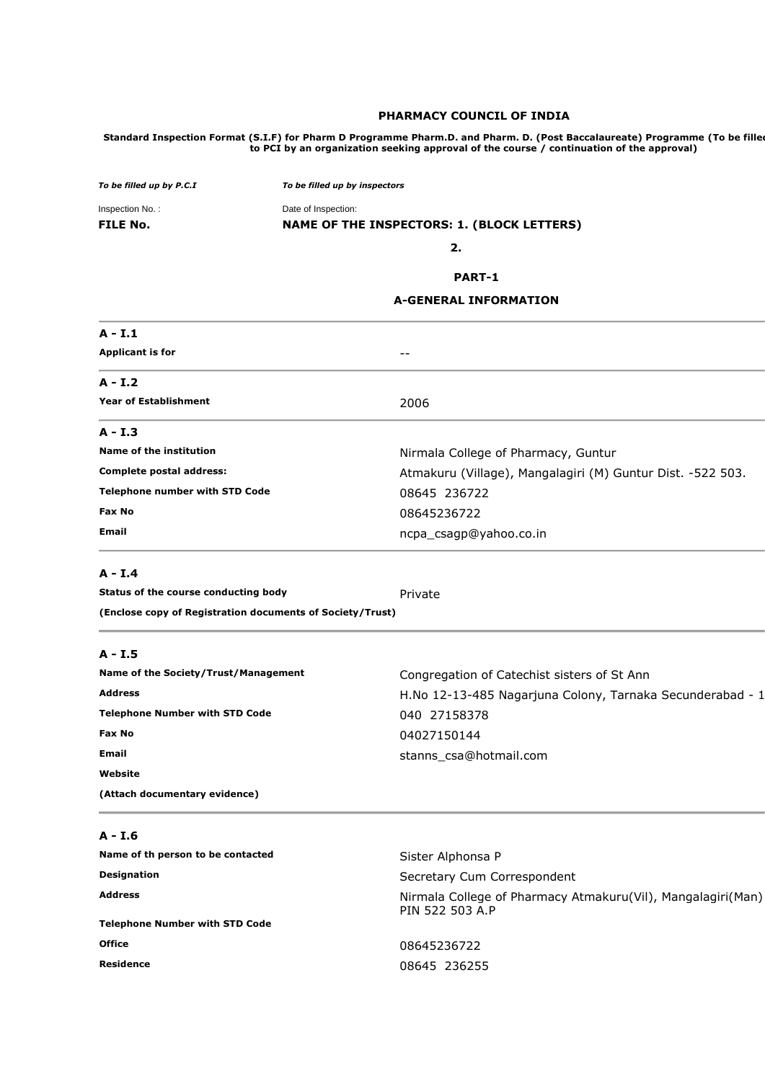#### **PHARMACY COUNCIL OF INDIA**

Standard Inspection Format (S.I.F) for Pharm D Programme Pharm.D. and Pharm. D. (Post Baccalaureate) Programme (To be fille**d to PCI by an organization seeking approval of the course / continuation of the approval)** 

| To be filled up by P.C.I | To be filled up by inspectors              |
|--------------------------|--------------------------------------------|
| Inspection No.:          | Date of Inspection:                        |
| <b>FILE No.</b>          | NAME OF THE INSPECTORS: 1. (BLOCK LETTERS) |
|                          | 2.                                         |
|                          | <b>DADT 4</b>                              |

#### **PART-1**

#### **A-GENERAL INFORMATION**

| $A - I.1$                             |                                                            |
|---------------------------------------|------------------------------------------------------------|
| <b>Applicant is for</b>               | --                                                         |
| $A - I.2$                             |                                                            |
| <b>Year of Establishment</b>          | 2006                                                       |
| A - I.3                               |                                                            |
| Name of the institution               | Nirmala College of Pharmacy, Guntur                        |
| Complete postal address:              | Atmakuru (Village), Mangalagiri (M) Guntur Dist. -522 503. |
| <b>Telephone number with STD Code</b> | 08645 236722                                               |
| Fax No                                | 08645236722                                                |
| <b>Email</b>                          | ncpa_csagp@yahoo.co.in                                     |
| $A - I.4$                             |                                                            |
| Status of the course conducting body  | Private                                                    |

**(Enclose copy of Registration documents of Society/Trust)** 

## **A - I.5**

| Name of the Society/Trust/Management  | Congregation of Catechist sisters of St Ann               |
|---------------------------------------|-----------------------------------------------------------|
| <b>Address</b>                        | H.No 12-13-485 Nagarjuna Colony, Tarnaka Secunderabad - 1 |
| <b>Telephone Number with STD Code</b> | 040 27158378                                              |
| Fax No                                | 04027150144                                               |
| Email                                 | stanns csa@hotmail.com                                    |
| Website                               |                                                           |
| (Attach documentary evidence)         |                                                           |

| ۰. |
|----|
|    |

| Name of th person to be contacted     | Sister Alphonsa P                                                              |  |
|---------------------------------------|--------------------------------------------------------------------------------|--|
| <b>Designation</b>                    | Secretary Cum Correspondent                                                    |  |
| <b>Address</b>                        | Nirmala College of Pharmacy Atmakuru(Vil), Mangalagiri(Man)<br>PIN 522 503 A.P |  |
| <b>Telephone Number with STD Code</b> |                                                                                |  |
| <b>Office</b>                         | 08645236722                                                                    |  |
| Residence                             | 08645 236255                                                                   |  |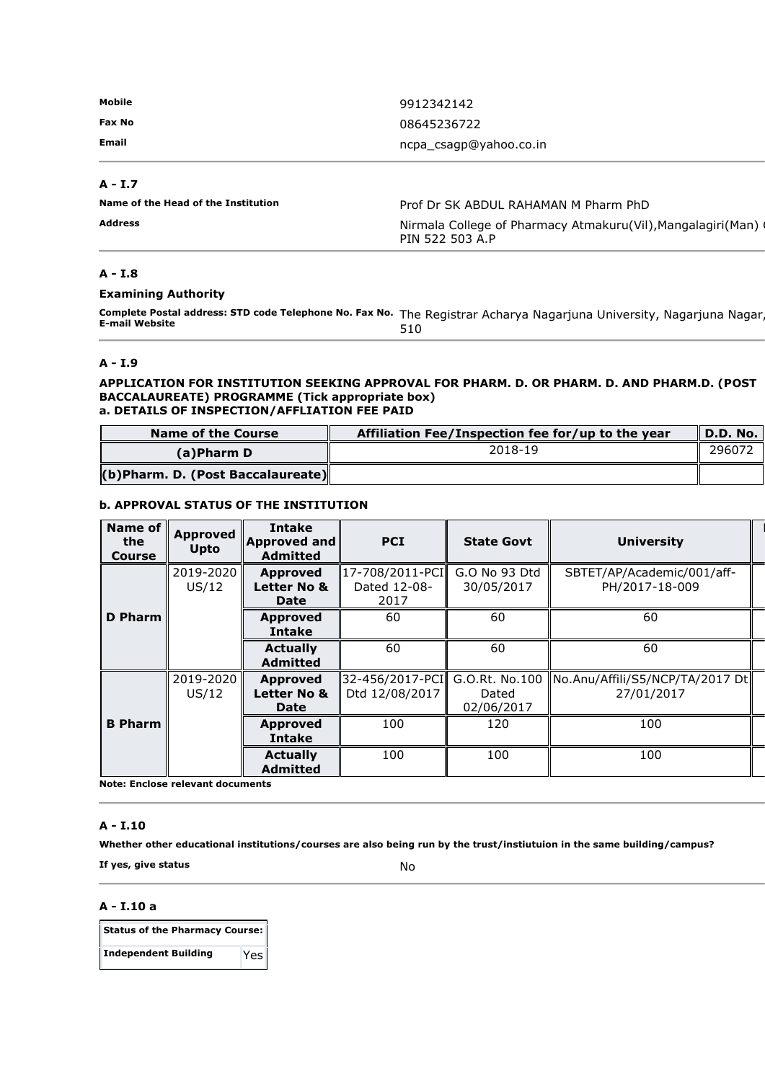| Mobile | 9912342142             |
|--------|------------------------|
| Fax No | 08645236722            |
| Email  | ncpa_csagp@yahoo.co.in |

## **A - I.7**

| Name of the Head of the Institution | Prof Dr SK ABDUL RAHAMAN M Pharm PhD                                           |  |
|-------------------------------------|--------------------------------------------------------------------------------|--|
| Address                             | Nirmala College of Pharmacy Atmakuru(Vil), Mangalagiri(Man)<br>PIN 522 503 A.P |  |

## **A - I.8**

#### **Examining Authority**

**Complete Postal address: STD code Telephone No. Fax No.** The Registrar Acharya Nagarjuna University, Nagarjuna Nagar, **E-mail Website**  510

#### **A - I.9**

#### **APPLICATION FOR INSTITUTION SEEKING APPROVAL FOR PHARM. D. OR PHARM. D. AND PHARM.D. (POST BACCALAUREATE) PROGRAMME (Tick appropriate box) a. DETAILS OF INSPECTION/AFFLIATION FEE PAID**

| <b>Name of the Course</b>         | Affiliation Fee/Inspection fee for/up to the year | $\parallel$ D.D. No. |
|-----------------------------------|---------------------------------------------------|----------------------|
| (a)Pharm D                        | 2018-19                                           | 296072               |
| (b)Pharm. D. (Post Baccalaureate) |                                                   |                      |

**Remarks of** 

### **b. APPROVAL STATUS OF THE INSTITUTION**

| Name of<br>the<br><b>Course</b> | <b>Approved</b><br><b>Upto</b> | <b>Intake</b><br><b>Approved and</b><br><b>Admitted</b> | <b>PCI</b>                              | <b>State Govt</b>                     | <b>University</b>                             |
|---------------------------------|--------------------------------|---------------------------------------------------------|-----------------------------------------|---------------------------------------|-----------------------------------------------|
|                                 | 2019-2020<br>US/12             | <b>Approved</b><br>Letter No &<br><b>Date</b>           | 17-708/2011-PCI<br>Dated 12-08-<br>2017 | G.O No 93 Dtd<br>30/05/2017           | SBTET/AP/Academic/001/aff-<br>PH/2017-18-009  |
| D Pharm                         |                                | <b>Approved</b><br><b>Intake</b>                        | 60                                      | 60                                    | 60                                            |
|                                 |                                | <b>Actually</b><br><b>Admitted</b>                      | 60                                      | 60                                    | 60                                            |
|                                 | 2019-2020<br>US/12             | <b>Approved</b><br>Letter No &<br>Date                  | 32-456/2017-PCI<br>Dtd 12/08/2017       | G.O.Rt. No.100<br>Dated<br>02/06/2017 | No.Anu/Affili/S5/NCP/TA/2017 Dt<br>27/01/2017 |
| <b>B</b> Pharm                  |                                | <b>Approved</b><br><b>Intake</b>                        | 100                                     | 120                                   | 100                                           |
|                                 |                                | <b>Actually</b><br><b>Admitted</b>                      | 100                                     | 100                                   | 100                                           |

**Note: Enclose relevant documents** 

#### **A - I.10**

**Whether other educational institutions/courses are also being run by the trust/instiutuion in the same building/campus?** 

**If yes, give status** No

## **A - I.10 a**

| Status of the Pharmacy Course: |     |  |
|--------------------------------|-----|--|
| <b>Independent Building</b>    | Yes |  |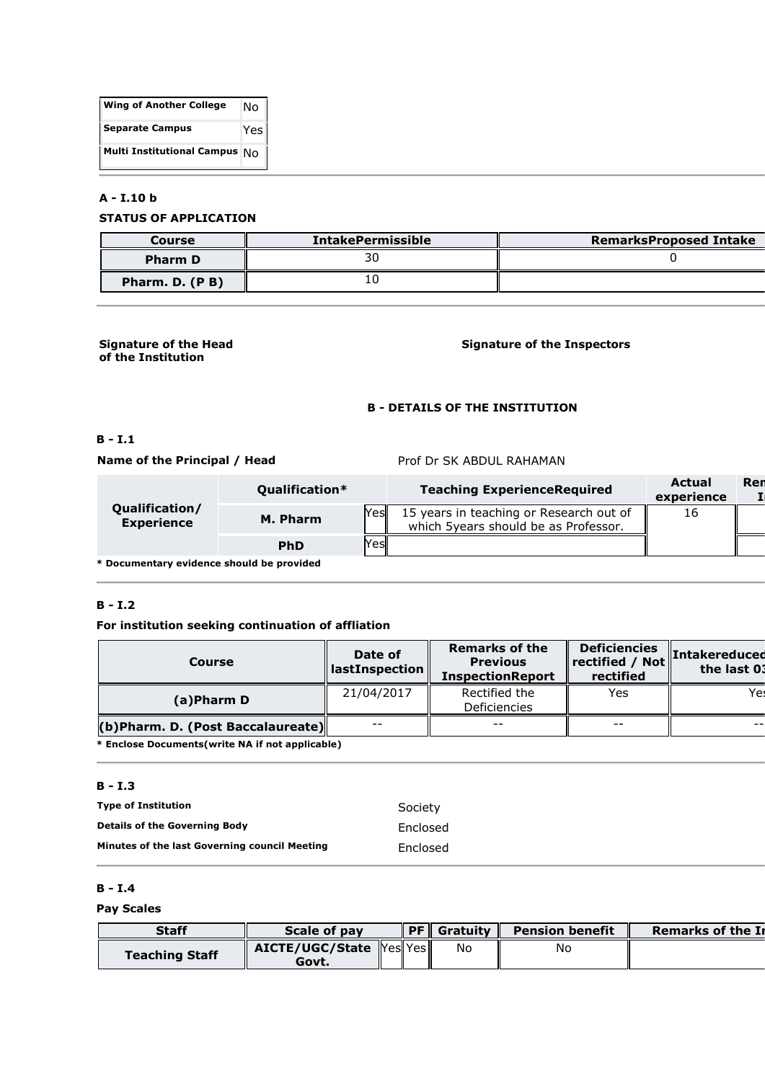| <b>Wing of Another College</b>         | N٥  |
|----------------------------------------|-----|
| <b>Separate Campus</b>                 | Yes |
| <b>Multi Institutional Campus</b> $N0$ |     |

## **A - I.10 b**

## **STATUS OF APPLICATION**

| Course         | <b>IntakePermissible</b> | <b>RemarksProposed Intake</b> |
|----------------|--------------------------|-------------------------------|
| <b>Pharm D</b> |                          |                               |
| Pharm. D. (PB) |                          |                               |

#### **Signature of the Head of the Institution**

## **Signature of the Inspectors**

## **B - DETAILS OF THE INSTITUTION**

## **B - I.1**

**Name of the Principal / Head** Prof Dr SK ABDUL RAHAMAN

|                                            | Oualification*     | <b>Teaching ExperienceRequired</b>                                              | Actual<br>experience | Ren |
|--------------------------------------------|--------------------|---------------------------------------------------------------------------------|----------------------|-----|
| <b>Qualification/</b><br><b>Experience</b> | Yesl<br>M. Pharm   | 15 years in teaching or Research out of<br>which 5years should be as Professor. | 16                   |     |
|                                            | Yesl<br><b>PhD</b> |                                                                                 |                      |     |
|                                            |                    |                                                                                 |                      |     |

**\* Documentary evidence should be provided** 

## **B - I.2**

## **For institution seeking continuation of affliation**

| Course                            | Date of<br>$\parallel$ lastInspection $\parallel$ | <b>Remarks of the</b><br><b>Previous</b><br><b>InspectionReport</b> | <b>Deficiencies</b><br>$\ $ rectified / Not $\ $<br>rectified | <b>Intakereduced</b><br>the last 03 |
|-----------------------------------|---------------------------------------------------|---------------------------------------------------------------------|---------------------------------------------------------------|-------------------------------------|
| (a)Pharm D                        | 21/04/2017                                        | Rectified the<br><b>Deficiencies</b>                                | Yes                                                           | Yes.                                |
| (b)Pharm. D. (Post Baccalaureate) | $- -$                                             | $- -$                                                               | $- -$                                                         |                                     |
| .                                 |                                                   |                                                                     |                                                               |                                     |

**\* Enclose Documents(write NA if not applicable)** 

## **B - I.3**

| <b>Type of Institution</b>                           | Society  |
|------------------------------------------------------|----------|
| <b>Details of the Governing Body</b>                 | Enclosed |
| <b>Minutes of the last Governing council Meeting</b> | Enclosed |

## **B - I.4**

## **Pay Scales**

| <b>Staff</b>          | Scale of pay                     | DE I | <b>Gratuity</b> | <b>Pension benefit</b> | <b>Remarks of the In</b> |
|-----------------------|----------------------------------|------|-----------------|------------------------|--------------------------|
| <b>Teaching Staff</b> | AICTE/UGC/State YeslYes<br>Govt. |      | No              | No                     |                          |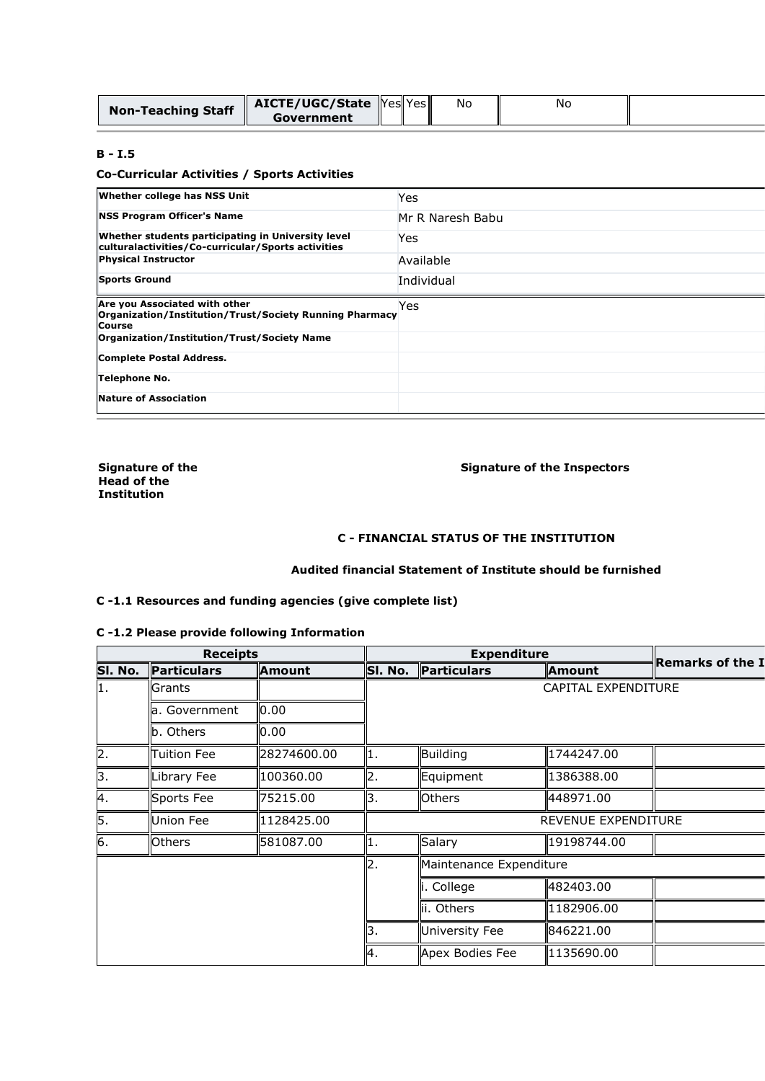| <b>Non-Teaching Staff</b> | <b>AICTE/UGC/State</b> Yes Yes |  | No | Νc |  |
|---------------------------|--------------------------------|--|----|----|--|
|                           | Government                     |  |    |    |  |

## **B - I.5**

## **Co-Curricular Activities / Sports Activities**

| <b>Whether college has NSS Unit</b>                                                                       | Yes              |
|-----------------------------------------------------------------------------------------------------------|------------------|
| <b>NSS Program Officer's Name</b>                                                                         | Mr R Naresh Babu |
| Whether students participating in University level<br>culturalactivities/Co-curricular/Sports activities  | Yes              |
| <b>Physical Instructor</b>                                                                                | Available        |
| <b>Sports Ground</b>                                                                                      | Individual       |
| Are you Associated with other<br>Organization/Institution/Trust/Society Running Pharmacy<br><b>Course</b> | Yes              |
| Organization/Institution/Trust/Society Name                                                               |                  |
| Complete Postal Address.                                                                                  |                  |
| <b>Telephone No.</b>                                                                                      |                  |
| Nature of Association                                                                                     |                  |

**Signature of the Head of the Institution** 

## **Signature of the Inspectors**

## **C - FINANCIAL STATUS OF THE INSTITUTION**

## **Audited financial Statement of Institute should be furnished**

## **C -1.1 Resources and funding agencies (give complete list)**

## **C -1.2 Please provide following Information**

|         |                    | <b>Receipts</b> |     | <b>Expenditure</b> |                         |                            |                         |
|---------|--------------------|-----------------|-----|--------------------|-------------------------|----------------------------|-------------------------|
| SI. No. | Particulars        | <b>Amount</b>   |     | SI. No.            | Particulars             | <b>Amount</b>              | <b>Remarks of the I</b> |
| 1.      | Grants             |                 |     |                    |                         | <b>CAPITAL EXPENDITURE</b> |                         |
|         | la. Government     | 0.00            |     |                    |                         |                            |                         |
|         | b. Others          | 0.00            |     |                    |                         |                            |                         |
| 2.      | <b>Tuition Fee</b> | 28274600.00     | П.  |                    | <b>Building</b>         | 1744247.00                 |                         |
| 3.      | Library Fee        | 100360.00       | 2.  |                    | Equipment               | 1386388.00                 |                         |
| 4.      | Sports Fee         | 75215.00        | Β.  |                    | <b>Others</b>           | 448971.00                  |                         |
| 5.      | <b>Union Fee</b>   | 1128425.00      |     |                    |                         | <b>REVENUE EXPENDITURE</b> |                         |
| 6.      | <b>Others</b>      | 581087.00       | 11. |                    | Salary                  | 19198744.00                |                         |
|         |                    |                 | 2.  |                    | Maintenance Expenditure |                            |                         |
|         |                    |                 |     |                    | College                 | 482403.00                  |                         |
|         |                    |                 |     |                    | ii. Others              | 1182906.00                 |                         |
|         |                    |                 | З.  |                    | University Fee          | 846221.00                  |                         |
|         |                    |                 | 4.  |                    | Apex Bodies Fee         | 1135690.00                 |                         |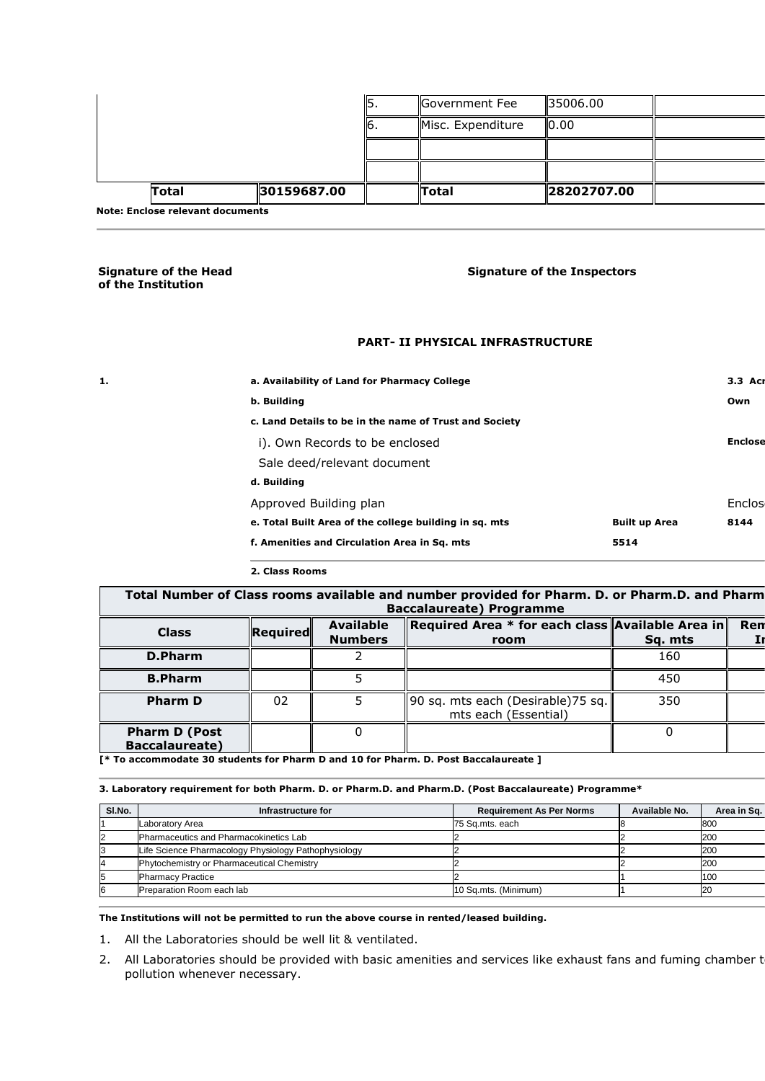| .            |             |    |                   |             |  |
|--------------|-------------|----|-------------------|-------------|--|
| <b>Total</b> | 30159687.00 |    | <b>Total</b>      | 28202707.00 |  |
|              |             |    |                   |             |  |
|              |             |    |                   |             |  |
|              |             | ь. | Misc. Expenditure | IO.00       |  |
|              |             | .כ | Government Fee    | 135006.00   |  |

**Note: Enclose relevant documents** 

#### **Signature of the Head of the Institution**

## **Signature of the Inspectors**

#### **PART- II PHYSICAL INFRASTRUCTURE**

| 1. | a. Availability of Land for Pharmacy College           |                      | 3.3 Acr        |
|----|--------------------------------------------------------|----------------------|----------------|
|    |                                                        |                      |                |
|    | b. Building                                            |                      | Own            |
|    | c. Land Details to be in the name of Trust and Society |                      |                |
|    | i). Own Records to be enclosed                         |                      | <b>Enclose</b> |
|    | Sale deed/relevant document                            |                      |                |
|    | d. Building                                            |                      |                |
|    | Approved Building plan                                 |                      | Enclos         |
|    | e. Total Built Area of the college building in sq. mts | <b>Built up Area</b> | 8144           |
|    | f. Amenities and Circulation Area in Sq. mts           | 5514                 |                |
|    |                                                        |                      |                |

## **2. Class Rooms**

Total Number of Class rooms available and number provided for Pharm. D. or Pharm. D. and Pharm **Baccalaureate) Programme** 

| <b>Class</b>                                  | Required | <b>Available</b><br><b>Numbers</b> | Required Area * for each class Available Area in<br>room   | Sq. mts | Ren |
|-----------------------------------------------|----------|------------------------------------|------------------------------------------------------------|---------|-----|
| D.Pharm                                       |          |                                    |                                                            | 160     |     |
| <b>B.Pharm</b>                                |          |                                    |                                                            | 450     |     |
| <b>Pharm D</b>                                | 02       |                                    | 90 sq. mts each (Desirable) 75 sq.<br>mts each (Essential) | 350     |     |
| <b>Pharm D (Post</b><br><b>Baccalaureate)</b> |          |                                    |                                                            |         |     |

**[\* To accommodate 30 students for Pharm D and 10 for Pharm. D. Post Baccalaureate ]** 

#### **3. Laboratory requirement for both Pharm. D. or Pharm.D. and Pharm.D. (Post Baccalaureate) Programme\***

| SI.No. | Infrastructure for                                   | <b>Requirement As Per Norms</b> | Available No. | Area in Sq. |
|--------|------------------------------------------------------|---------------------------------|---------------|-------------|
|        | Laboratory Area                                      | 75 Sq.mts. each                 |               | 800         |
|        | Pharmaceutics and Pharmacokinetics Lab               |                                 |               | 200         |
|        | Life Science Pharmacology Physiology Pathophysiology |                                 |               | 200         |
|        | Phytochemistry or Pharmaceutical Chemistry           |                                 |               | 200         |
|        | <b>Pharmacy Practice</b>                             |                                 |               | 100         |
| 16     | Preparation Room each lab                            | 10 Sq.mts. (Minimum)            |               | <b>20</b>   |

**The Institutions will not be permitted to run the above course in rented/leased building.** 

- 1. All the Laboratories should be well lit & ventilated.
- 2. All Laboratories should be provided with basic amenities and services like exhaust fans and fuming chamber t pollution whenever necessary.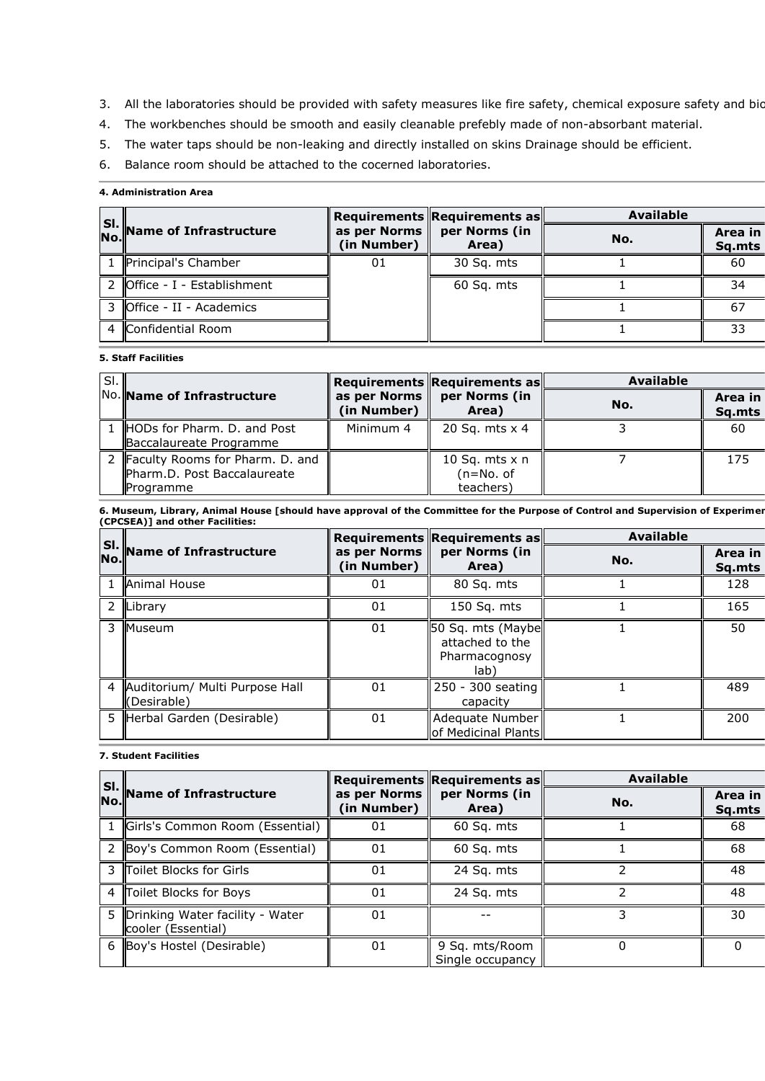- 3. All the laboratories should be provided with safety measures like fire safety, chemical exposure safety and bio
- 4. The workbenches should be smooth and easily cleanable prefebly made of non-absorbant material.
- 5. The water taps should be non-leaking and directly installed on skins Drainage should be efficient.
- 6. Balance room should be attached to the cocerned laboratories.

## **4. Administration Area**

|                                              |                                         | Requirements Requirements as | <b>Available</b> |                   |
|----------------------------------------------|-----------------------------------------|------------------------------|------------------|-------------------|
| SI.<br>No. Name of Infrastructure            | as per Norms $\parallel$<br>(in Number) | per Norms (in<br>Area)       | No.              | Area in<br>Sq.mts |
| 1 Principal's Chamber                        | 01                                      | 30 Sq. mts                   |                  | 60                |
| 2 $\sqrt{\text{Office - I - Establishment}}$ |                                         | 60 Sq. mts                   |                  | 34                |
| 3 Office - II - Academics                    |                                         |                              |                  |                   |
| 4 Confidential Room                          |                                         |                              |                  | 33                |

## **5. Staff Facilities**

| SI. |                                                                               |             | Requirements Requirements as                 | <b>Available</b> |                   |
|-----|-------------------------------------------------------------------------------|-------------|----------------------------------------------|------------------|-------------------|
|     | No. Name of Infrastructure                                                    | (in Number) | as per Norms   per Norms (in<br>Area)        | No.              | Area in<br>Sq.mts |
|     | 1 HODs for Pharm. D. and Post<br>Baccalaureate Programme                      | Minimum 4   | 20 Sq. mts x 4                               |                  | 60                |
|     | 2 Faculty Rooms for Pharm. D. and<br>Pharm.D. Post Baccalaureate<br>Programme |             | 10 Sq. mts $x$ n<br>$(n=No. of$<br>teachers) |                  | 175               |

6. Museum, Library, Animal House [should have approval of the Committee for the Purpose of Control and Supervision of Experimer **(CPCSEA)] and other Facilities:** 

| SI. |                                               |                             | Requirements Requirements as                                           | <b>Available</b> |                   |
|-----|-----------------------------------------------|-----------------------------|------------------------------------------------------------------------|------------------|-------------------|
| No. | Name of Infrastructure                        | as per Norms<br>(in Number) | per Norms (in<br>Area)                                                 | No.              | Area in<br>Sq.mts |
|     | <b>Animal House</b>                           | 01                          | 80 Sq. mts                                                             |                  | 128               |
| 2   | Library                                       | 01                          | 150 Sq. mts                                                            |                  | 165               |
| 3   | Museum                                        | 01                          | <b>50 Sg. mts (Maybell</b><br>attached to the<br>Pharmacognosy<br>lab) |                  | 50                |
| 4   | Auditorium/ Multi Purpose Hall<br>(Desirable) | 01                          | 250 - 300 seating<br>capacity                                          |                  | 489               |
| 5.  | Herbal Garden (Desirable)                     | 01                          | Adequate Number<br>of Medicinal Plants                                 |                  | 200               |

#### **7. Student Facilities**

|     |                                                       |                             | Requirements Requirements as       | <b>Available</b> |                   |
|-----|-------------------------------------------------------|-----------------------------|------------------------------------|------------------|-------------------|
| No. | $\ \mathsf{SI.}\ $ Name of Infrastructure             | as per Norms<br>(in Number) | per Norms (in<br>Area)             | No.              | Area in<br>Sq.mts |
| 1   | Girls's Common Room (Essential)                       | 01                          | 60 Sq. mts                         |                  | 68                |
|     | 2 Boy's Common Room (Essential)                       | 01                          | 60 Sq. mts                         |                  | 68                |
| 3   | Toilet Blocks for Girls                               | 01                          | 24 Sq. mts                         |                  | 48                |
| 4   | Toilet Blocks for Boys                                | 01                          | 24 Sq. mts                         |                  | 48                |
| 5.  | Drinking Water facility - Water<br>cooler (Essential) | 01                          |                                    |                  | 30                |
|     | 6 Boy's Hostel (Desirable)                            | 01                          | 9 Sq. mts/Room<br>Single occupancy |                  |                   |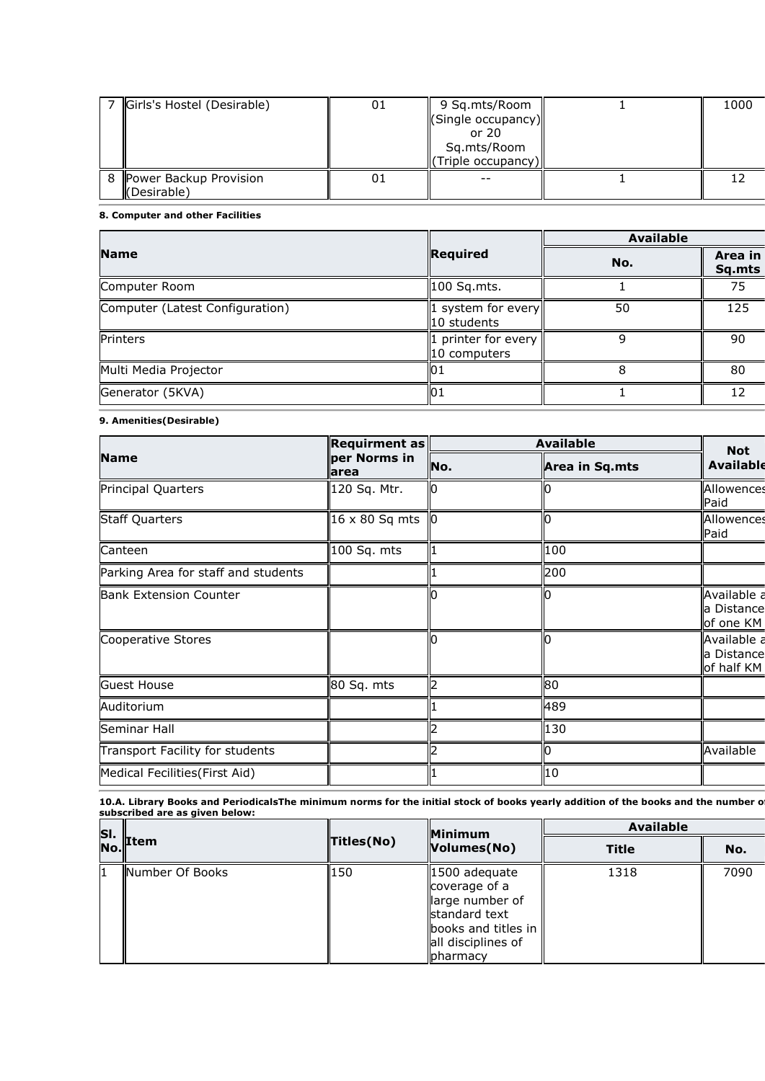|   | Girls's Hostel (Desirable)                         | 01 | 9 Sq.mts/Room<br>(Single occupancy)<br>or $20$<br>Sq.mts/Room<br>(Triple occupancy) | 1000 |
|---|----------------------------------------------------|----|-------------------------------------------------------------------------------------|------|
| 8 | Power Backup Provision<br>$\mathsf{I}$ (Desirable) |    | $- -$                                                                               |      |

#### **8. Computer and other Facilities**

|                                 |                                    | <b>Available</b> |                   |
|---------------------------------|------------------------------------|------------------|-------------------|
| <b>Name</b>                     | Required                           | No.              | Area in<br>Sq.mts |
| Computer Room                   | 100 Sq.mts.                        |                  | 75                |
| Computer (Latest Configuration) | 1 system for every<br>ll0 students | 50               | 125               |
| Printers                        | printer for every<br>10 computers  |                  | 90                |
| Multi Media Projector           | 01                                 |                  | 80                |
| Generator (5KVA)                | 01                                 |                  | 12                |

## **9. Amenities(Desirable)**

|                                     | <b>Requirment as</b>  | <b>Available</b> |                | <b>Not</b>                              |
|-------------------------------------|-----------------------|------------------|----------------|-----------------------------------------|
| <b>Name</b>                         | per Norms in<br>larea | No.              | Area in Sq.mts | <b>Available</b>                        |
| Principal Quarters                  | 120 Sq. Mtr.          | Ю                |                | Allowences<br>Paid                      |
| <b>Staff Quarters</b>               | $16 \times 80$ Sq mts | l0               |                | Allowences<br>Paid                      |
| Canteen                             | 100 Sq. mts           |                  | 100            |                                         |
| Parking Area for staff and students |                       |                  | 200            |                                         |
| <b>Bank Extension Counter</b>       |                       |                  |                | Available a<br>a Distance<br>of one KM  |
| Cooperative Stores                  |                       |                  |                | Available a<br>a Distance<br>of half KM |
| Guest House                         | 80 Sq. mts            |                  | 80             |                                         |
| Auditorium                          |                       |                  | 489            |                                         |
| Seminar Hall                        |                       |                  | 130            |                                         |
| Transport Facility for students     |                       |                  |                | Available                               |
| Medical Fecilities (First Aid)      |                       |                  | 10             |                                         |

10.A. Library Books and PeriodicalsThe minimum norms for the initial stock of books yearly addition of the books and the number o **subscribed are as given below:** 

| SI. |                 |            | <b>Minimum</b>                                                                                                               | <b>Available</b> |      |
|-----|-----------------|------------|------------------------------------------------------------------------------------------------------------------------------|------------------|------|
| No. | <b>Item</b>     | Titles(No) | Volumes(No)                                                                                                                  | <b>Title</b>     | No.  |
|     | Number Of Books | 150        | 1500 adequate<br>coverage of a<br>large number of<br>standard text<br>books and titles in<br>all disciplines of<br>lpharmacy | 1318             | 7090 |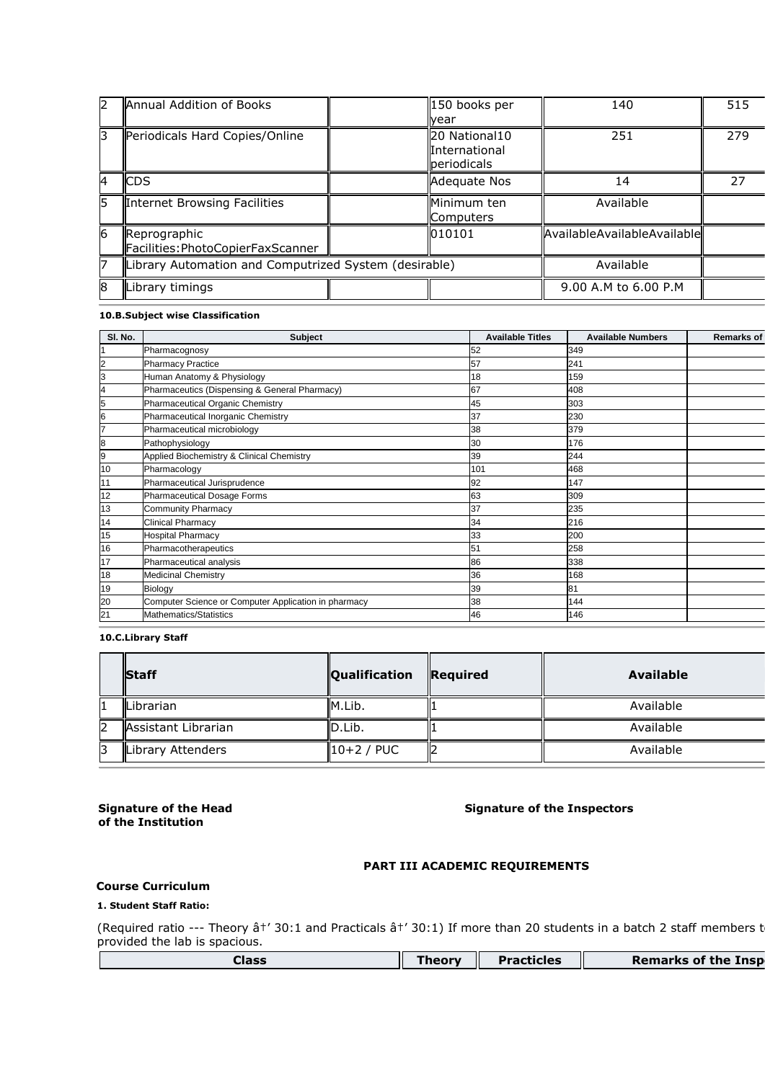| 12 | Annual Addition of Books                              | 150 books per<br>vear                         | 140                         | 515 |
|----|-------------------------------------------------------|-----------------------------------------------|-----------------------------|-----|
| З  | Periodicals Hard Copies/Online                        | 20 National10<br>International<br>periodicals | 251                         | 279 |
| 4  | <b>CDS</b>                                            | Adequate Nos                                  | 14                          | 27  |
| 5  | Internet Browsing Facilities                          | Minimum ten<br>Computers                      | Available                   |     |
| 6  | Reprographic<br>Facilities: PhotoCopierFaxScanner     | 010101                                        | AvailableAvailableAvailable |     |
| 7  | Library Automation and Computrized System (desirable) |                                               | Available                   |     |
| 8  | Library timings                                       |                                               | 9.00 A.M to 6.00 P.M        |     |

## **10.B.Subject wise Classification**

| SI. No. | <b>Subject</b>                                       | <b>Available Titles</b> | <b>Available Numbers</b> | <b>Remarks of</b> |
|---------|------------------------------------------------------|-------------------------|--------------------------|-------------------|
|         | Pharmacognosy                                        | 52                      | 349                      |                   |
| 2       | <b>Pharmacy Practice</b>                             | 57                      | 241                      |                   |
| 3       | Human Anatomy & Physiology                           | 18                      | 159                      |                   |
| 4       | Pharmaceutics (Dispensing & General Pharmacy)        | 67                      | 408                      |                   |
| 5       | Pharmaceutical Organic Chemistry                     | 45                      | 303                      |                   |
| 6       | Pharmaceutical Inorganic Chemistry                   | 37                      | 230                      |                   |
| 7       | Pharmaceutical microbiology                          | 38                      | 379                      |                   |
| 8       | Pathophysiology                                      | 30                      | 176                      |                   |
| 9       | Applied Biochemistry & Clinical Chemistry            | 39                      | 244                      |                   |
| 10      | Pharmacology                                         | 101                     | 468                      |                   |
| 11      | Pharmaceutical Jurisprudence                         | 92                      | 147                      |                   |
| 12      | <b>Pharmaceutical Dosage Forms</b>                   | 63                      | 309                      |                   |
| 13      | Community Pharmacy                                   | 37                      | 235                      |                   |
| 14      | <b>Clinical Pharmacy</b>                             | 34                      | 216                      |                   |
| 15      | <b>Hospital Pharmacy</b>                             | 33                      | 200                      |                   |
| 16      | Pharmacotherapeutics                                 | 51                      | 258                      |                   |
| 17      | Pharmaceutical analysis                              | 86                      | 338                      |                   |
| 18      | <b>Medicinal Chemistry</b>                           | 36                      | 168                      |                   |
| 19      | Biology                                              | 39                      | 81                       |                   |
| 20      | Computer Science or Computer Application in pharmacy | 38                      | 144                      |                   |
| 21      | Mathematics/Statistics                               | 46                      | 146                      |                   |
|         |                                                      |                         |                          |                   |

#### **10.C.Library Staff**

|    | <b>Staff</b>        | <b>Qualification</b> | Required | Available |
|----|---------------------|----------------------|----------|-----------|
|    | <b>ILibrarian</b>   | M.Lib.               |          | Available |
| l2 | Assistant Librarian | ID.Lib.              |          | Available |
| R  | Library Attenders   | $10+2$ / PUC         |          | Available |

## **Signature of the Head of the Institution**

## **Signature of the Inspectors**

## **PART III ACADEMIC REQUIREMENTS**

#### **Course Curriculum**

## **1. Student Staff Ratio:**

(Required ratio --- Theory ât' 30:1 and Practicals ât' 30:1) If more than 20 students in a batch 2 staff members t provided the lab is spacious.

| Class | <b>Theor</b> | Π<br><b>Practicles</b> | Remarks of the Inspl |
|-------|--------------|------------------------|----------------------|
|       |              |                        |                      |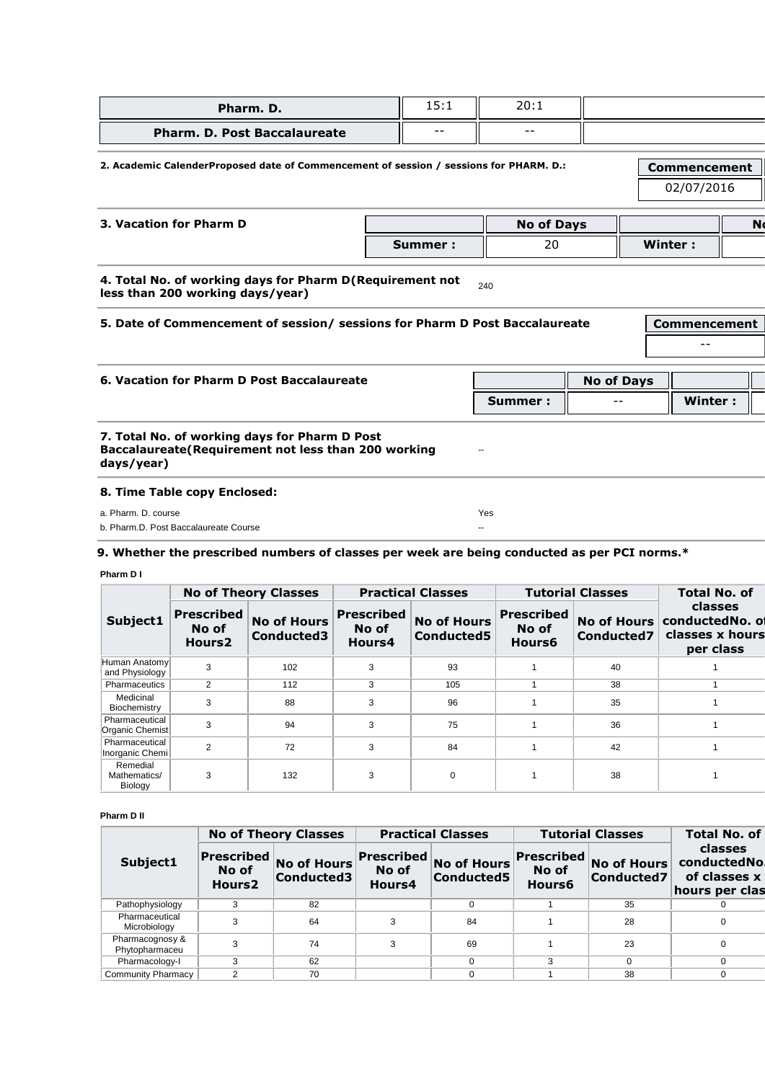| Pharm. D.                           | 15:1  | 20:1 |  |
|-------------------------------------|-------|------|--|
| <b>Pharm. D. Post Baccalaureate</b> | $- -$ | $ -$ |  |

## **2. Academic CalenderProposed date of Commencement of session / sessions for PHARM. D.: Commencement**

02/07/2016

| 3. Vacation for Pharm D |          | <b>No of Days</b> |         | N |
|-------------------------|----------|-------------------|---------|---|
|                         | Summer : | n c<br>∠∪         | Winter: |   |

### **4. Total No. of working days for Pharm D(Requirement not 4. Fotal No. or Working days for Pharm D(Requirement not**  $_{240}$  less than 200 working days/year)

# **5. Date of Commencement of session/ sessions for Pharm D Post Baccalaureate Commencement**  -- **6. Vacation for Pharm D Post Baccalaureate No of Days No of Days No of Days Summer :**  $\|\cdot\|$  --  $\|\cdot\|$  Winter : **7. Total No. of working days for Pharm D Post Baccalaureate(Requirement not less than 200 working days/year)**  -- **8. Time Table copy Enclosed:**  a. Pharm. D. course Yes

b. Pharm.D. Post Baccalaureate Course --

## **9. Whether the prescribed numbers of classes per week are being conducted as per PCI norms.\***

#### **Pharm D I**

|                                     |                                                  | <b>No of Theory Classes</b>      |                                      | <b>Practical Classes</b>         |                                      | <b>Tutorial Classes</b>          | <b>Total No. of</b>                                        |
|-------------------------------------|--------------------------------------------------|----------------------------------|--------------------------------------|----------------------------------|--------------------------------------|----------------------------------|------------------------------------------------------------|
| Subject1                            | <b>Prescribed</b><br>No of<br>Hours <sub>2</sub> | <b>No of Hours</b><br>Conducted3 | <b>Prescribed</b><br>No of<br>Hours4 | <b>No of Hours</b><br>Conducted5 | <b>Prescribed</b><br>No of<br>Hours6 | <b>No of Hours</b><br>Conducted7 | classes<br>conductedNo. of<br>classes x hours<br>per class |
| Human Anatomyl<br>and Physiology    | 3                                                | 102                              | 3                                    | 93                               |                                      | 40                               |                                                            |
| Pharmaceutics                       | 2                                                | 112                              | 3                                    | 105                              |                                      | 38                               |                                                            |
| Medicinal<br>Biochemistry           | 3                                                | 88                               | 3                                    | 96                               |                                      | 35                               |                                                            |
| Pharmaceutical<br>Organic Chemist   | 3                                                | 94                               | 3                                    | 75                               |                                      | 36                               |                                                            |
| Pharmaceutical<br>Inorganic Chemi   | $\overline{2}$                                   | 72                               | 3                                    | 84                               |                                      | 42                               |                                                            |
| Remedial<br>Mathematics/<br>Biology | 3                                                | 132                              | 3                                    | 0                                |                                      | 38                               |                                                            |

#### **Pharm D II**

|                                   |                                            | <b>No of Theory Classes</b>      |                                      | <b>Practical Classes</b>         |                                      | <b>Tutorial Classes</b>          | <b>Total No. of</b>                                       |
|-----------------------------------|--------------------------------------------|----------------------------------|--------------------------------------|----------------------------------|--------------------------------------|----------------------------------|-----------------------------------------------------------|
| Subject1                          | Prescribed <br>No of<br>Hours <sub>2</sub> | <b>No of Hours</b><br>Conducted3 | <b>Prescribed</b><br>No of<br>Hours4 | <b>No of Hours</b><br>Conducted5 | <b>Prescribed</b><br>No of<br>Hours6 | <b>No of Hours</b><br>Conducted7 | classes<br>conductedNol<br>of classes x<br>hours per clas |
| Pathophysiology                   |                                            | 82                               |                                      |                                  |                                      | 35                               |                                                           |
| Pharmaceutical<br>Microbiology    | 3                                          | 64                               | 3                                    | 84                               |                                      | 28                               |                                                           |
| Pharmacognosy &<br>Phytopharmaceu | 3                                          | 74                               | 3                                    | 69                               |                                      | 23                               |                                                           |
| Pharmacology-I                    | 3                                          | 62                               |                                      |                                  | 3                                    | $\Omega$                         |                                                           |
| Community Pharmacy                | っ                                          | 70                               |                                      |                                  |                                      | 38                               |                                                           |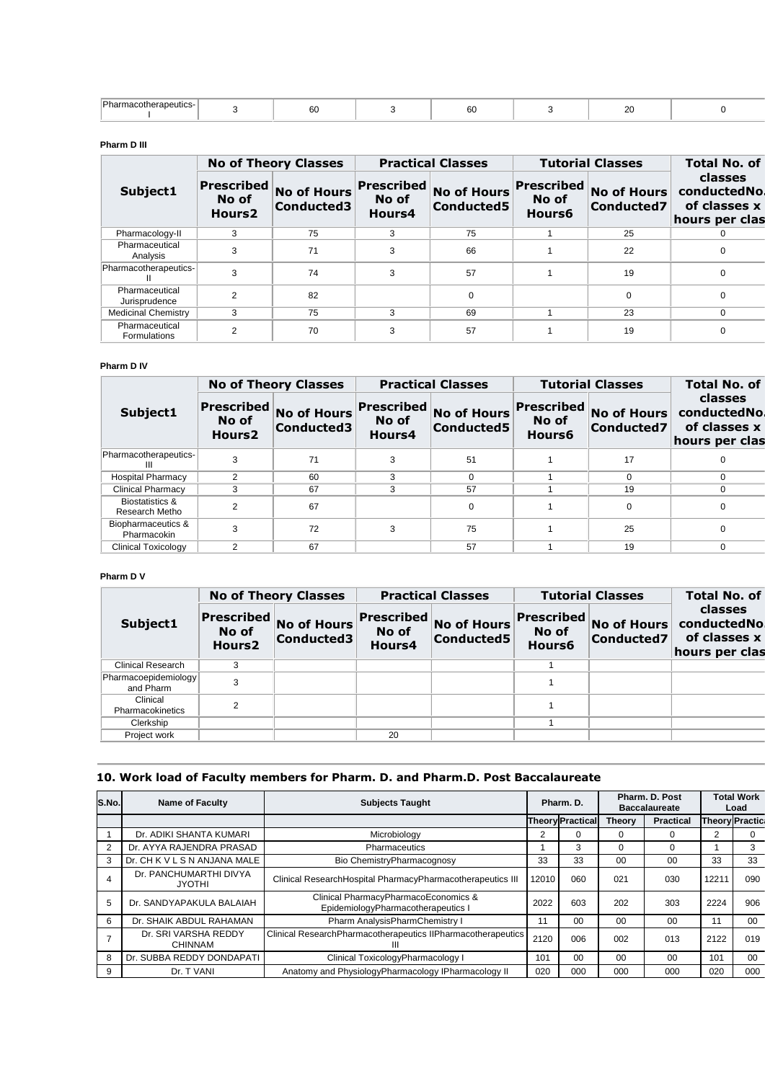| $\overline{\phantom{a}}$<br>. Phr<br>autics-1<br>ome<br>.oe<br>l Iz | $\sim$<br>oυ |  | 60 |  | __ |  |
|---------------------------------------------------------------------|--------------|--|----|--|----|--|
|---------------------------------------------------------------------|--------------|--|----|--|----|--|

#### **Pharm D III**

|                                 |                                           | <b>No of Theory Classes</b>      |                                      | <b>Practical Classes</b>         |                               | <b>Tutorial Classes</b>          | <b>Total No. of</b>                                      |
|---------------------------------|-------------------------------------------|----------------------------------|--------------------------------------|----------------------------------|-------------------------------|----------------------------------|----------------------------------------------------------|
| Subject1                        | Prescribed<br>No of<br>Hours <sub>2</sub> | <b>No of Hours</b><br>Conducted3 | <b>Prescribed</b><br>No of<br>Hours4 | <b>No of Hours</b><br>Conducted5 | Prescribed<br>No of<br>Hours6 | <b>No of Hours</b><br>Conducted7 | classes<br>conductedNo<br>of classes x<br>hours per clas |
| Pharmacology-II                 | 3                                         | 75                               | 3                                    | 75                               |                               | 25                               |                                                          |
| Pharmaceutical<br>Analysis      | 3                                         | 71                               | 3                                    | 66                               |                               | 22                               |                                                          |
| Pharmacotherapeutics-           | 3                                         | 74                               | 3                                    | 57                               |                               | 19                               | 0                                                        |
| Pharmaceutical<br>Jurisprudence | $\overline{2}$                            | 82                               |                                      | $\Omega$                         |                               | 0                                | 0                                                        |
| <b>Medicinal Chemistry</b>      | 3                                         | 75                               | 3                                    | 69                               |                               | 23                               | 0                                                        |
| Pharmaceutical<br>Formulations  | $\overline{2}$                            | 70                               | 3                                    | 57                               |                               | 19                               |                                                          |

## **Pharm D IV**

|                                              |                                           | <b>No of Theory Classes</b>      |                                      | <b>Practical Classes</b>         |                               | <b>Tutorial Classes</b>          | <b>Total No. of</b>                                      |
|----------------------------------------------|-------------------------------------------|----------------------------------|--------------------------------------|----------------------------------|-------------------------------|----------------------------------|----------------------------------------------------------|
| Subject1                                     | Prescribed<br>No of<br>Hours <sub>2</sub> | <b>No of Hours</b><br>Conducted3 | <b>Prescribed</b><br>No of<br>Hours4 | <b>No of Hours</b><br>Conducted5 | Prescribed<br>No of<br>Hours6 | <b>No of Hours</b><br>Conducted7 | classes<br>conductedNo<br>of classes x<br>hours per clas |
| Pharmacotherapeutics-<br>Ш                   | 3                                         | 71                               | 3                                    | 51                               |                               | 17                               |                                                          |
| <b>Hospital Pharmacy</b>                     | 2                                         | 60                               | 3                                    |                                  |                               | $\Omega$                         |                                                          |
| <b>Clinical Pharmacy</b>                     | 3                                         | 67                               | 3                                    | 57                               |                               | 19                               |                                                          |
| <b>Biostatistics &amp;</b><br>Research Metho | C                                         | 67                               |                                      | $\Omega$                         |                               | $\Omega$                         |                                                          |
| Biopharmaceutics &<br>Pharmacokin            | 3                                         | 72                               | 3                                    | 75                               |                               | 25                               |                                                          |
| Clinical Toxicology                          | 2                                         | 67                               |                                      | 57                               |                               | 19                               |                                                          |

#### **Pharm D V**

|                                   |                                                  | <b>No of Theory Classes</b>      |                               | <b>Practical Classes</b>         |                                      | <b>Tutorial Classes</b>          | <b>Total No. of</b>                                      |
|-----------------------------------|--------------------------------------------------|----------------------------------|-------------------------------|----------------------------------|--------------------------------------|----------------------------------|----------------------------------------------------------|
| Subject1                          | <b>Prescribed</b><br>No of<br>Hours <sub>2</sub> | <b>No of Hours</b><br>Conducted3 | Prescribed<br>No of<br>Hours4 | <b>No of Hours</b><br>Conducted5 | <b>Prescribed</b><br>No of<br>Hours6 | <b>No of Hours</b><br>Conducted7 | classes<br>conductedNo<br>of classes x<br>hours per clas |
| <b>Clinical Research</b>          | 3                                                |                                  |                               |                                  |                                      |                                  |                                                          |
| Pharmacoepidemiology<br>and Pharm | 3                                                |                                  |                               |                                  |                                      |                                  |                                                          |
| Clinical<br>Pharmacokinetics      | 2                                                |                                  |                               |                                  |                                      |                                  |                                                          |
| Clerkship                         |                                                  |                                  |                               |                                  |                                      |                                  |                                                          |
| Project work                      |                                                  |                                  | 20                            |                                  |                                      |                                  |                                                          |

## **10. Work load of Faculty members for Pharm. D. and Pharm.D. Post Baccalaureate**

| S.No.          | <b>Name of Faculty</b>                  | <b>Subjects Taught</b>                                                     | Pharm. D.               |                |               | Pharm. D. Post<br><b>Baccalaureate</b> |       | <b>Total Work</b><br>Load |
|----------------|-----------------------------------------|----------------------------------------------------------------------------|-------------------------|----------------|---------------|----------------------------------------|-------|---------------------------|
|                |                                         |                                                                            | <b>Theory Practical</b> |                | <b>Theory</b> | <b>Practical</b>                       |       | <b>Theory Practic:</b>    |
|                | Dr. ADIKI SHANTA KUMARI                 | Microbiology                                                               | 2                       | $\Omega$       | $\Omega$      | 0                                      |       | 0                         |
| $\overline{2}$ | Dr. AYYA RAJENDRA PRASAD                | Pharmaceutics                                                              |                         | 3              | $\Omega$      | 0                                      |       | 3                         |
| 3              | Dr. CH K V L S N ANJANA MALE            | Bio ChemistryPharmacognosy                                                 | 33                      | 33             | 00            | $00 \,$                                | 33    | 33                        |
|                | Dr. PANCHUMARTHI DIVYA<br><b>JYOTHI</b> | Clinical ResearchHospital PharmacyPharmacotherapeutics III                 | 12010                   | 060            | 021           | 030                                    | 1221' | 090                       |
| 5              | Dr. SANDYAPAKULA BALAIAH                | Clinical PharmacyPharmacoEconomics &<br>EpidemiologyPharmacotherapeutics I | 2022                    | 603            | 202           | 303                                    | 2224  | 906                       |
| 6              | Dr. SHAIK ABDUL RAHAMAN                 | Pharm AnalysisPharmChemistry I                                             | 11                      | 0 <sup>0</sup> | 00            | $00 \,$                                | 11    | $00 \,$                   |
|                | Dr. SRI VARSHA REDDY<br><b>CHINNAM</b>  | Clinical ResearchPharmacotherapeutics IIPharmacotherapeutics               | 2120                    | 006            | 002           | 013                                    | 2122  | 019                       |
| 8              | Dr. SUBBA REDDY DONDAPATI               | Clinical ToxicologyPharmacology I                                          | 101                     | 0 <sup>0</sup> | 00            | $00 \,$                                | 101   | 00                        |
| 9              | Dr. T VANI                              | Anatomy and PhysiologyPharmacology IPharmacology II                        | 020                     | 000            | 000           | 000                                    | 020   | 000                       |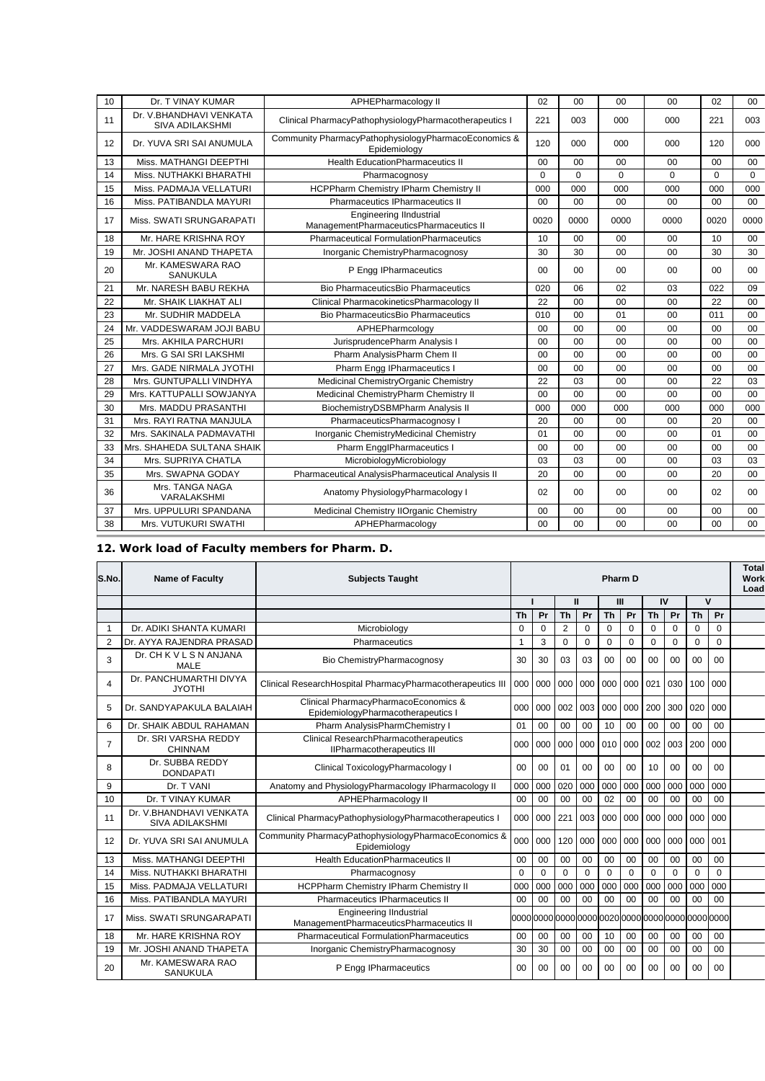| 10 | Dr. T VINAY KUMAR                                 | APHEPharmacology II                                                       | 02             | 00             | 00             | 00             | 02             | $00\,$ |
|----|---------------------------------------------------|---------------------------------------------------------------------------|----------------|----------------|----------------|----------------|----------------|--------|
| 11 | Dr. V.BHANDHAVI VENKATA<br><b>SIVA ADILAKSHMI</b> | Clinical PharmacyPathophysiologyPharmacotherapeutics I                    | 221            | 003            | 000            | 000            | 221            | 003    |
| 12 | Dr. YUVA SRI SAI ANUMULA                          | Community PharmacyPathophysiologyPharmacoEconomics &<br>Epidemiology      | 120            | 000            | 000            | 000            | 120            | 000    |
| 13 | Miss. MATHANGI DEEPTHI                            | <b>Health EducationPharmaceutics II</b>                                   | 0 <sub>0</sub> | 0 <sub>0</sub> | 0 <sub>0</sub> | 0 <sub>0</sub> | 0 <sub>0</sub> | 00     |
| 14 | Miss. NUTHAKKI BHARATHI                           | Pharmacognosy                                                             | $\Omega$       | $\Omega$       | $\Omega$       | $\Omega$       | $\Omega$       | 0      |
| 15 | Miss. PADMAJA VELLATURI                           | HCPPharm Chemistry IPharm Chemistry II                                    | 000            | 000            | 000            | 000            | 000            | 000    |
| 16 | Miss. PATIBANDLA MAYURI                           | Pharmaceutics IPharmaceutics II                                           | 00             | 00             | 00             | 00             | 00             | 00     |
| 17 | Miss. SWATI SRUNGARAPATI                          | <b>Engineering IIndustrial</b><br>ManagementPharmaceuticsPharmaceutics II | 0020           | 0000           | 0000           | 0000           | 0020           | 0000   |
| 18 | Mr. HARE KRISHNA ROY                              | <b>Pharmaceutical FormulationPharmaceutics</b>                            | 10             | 00             | 00             | 00             | 10             | $00\,$ |
| 19 | Mr. JOSHI ANAND THAPETA                           | Inorganic ChemistryPharmacognosy                                          | 30             | 30             | 00             | 00             | 30             | 30     |
| 20 | Mr. KAMESWARA RAO<br><b>SANUKULA</b>              | P Engg IPharmaceutics                                                     | 00             | 00             | 0 <sub>0</sub> | 00             | 00             | 00     |
| 21 | Mr. NARESH BABU REKHA                             | Bio PharmaceuticsBio Pharmaceutics                                        | 020            | 06             | 02             | 03             | 022            | 09     |
| 22 | Mr. SHAIK LIAKHAT ALI                             | Clinical PharmacokineticsPharmacology II                                  | 22             | 00             | 00             | 00             | 22             | $00\,$ |
| 23 | Mr. SUDHIR MADDELA                                | Bio PharmaceuticsBio Pharmaceutics                                        | 010            | 00             | 01             | 00             | 011            | 00     |
| 24 | Mr. VADDESWARAM JOJI BABU                         | APHEPharmcology                                                           | 00             | 00             | 00             | 00             | 00             | 00     |
| 25 | Mrs. AKHILA PARCHURI                              | JurisprudencePharm Analysis I                                             | 00             | 00             | 00             | 00             | 00             | 00     |
| 26 | Mrs. G SAI SRI LAKSHMI                            | Pharm AnalysisPharm Chem II                                               | 00             | 00             | 00             | 00             | 00             | 00     |
| 27 | Mrs. GADE NIRMALA JYOTHI                          | Pharm Engg IPharmaceutics I                                               | 0 <sub>0</sub> | 0 <sub>0</sub> | 0 <sub>0</sub> | 0 <sub>0</sub> | 0 <sub>0</sub> | 00     |
| 28 | Mrs. GUNTUPALLI VINDHYA                           | Medicinal ChemistryOrganic Chemistry                                      | 22             | 03             | 00             | 00             | 22             | 03     |
| 29 | Mrs. KATTUPALLI SOWJANYA                          | Medicinal ChemistryPharm Chemistry II                                     | 0 <sub>0</sub> | 0 <sub>0</sub> | 0 <sub>0</sub> | 0 <sub>0</sub> | 0 <sub>0</sub> | 00     |
| 30 | Mrs. MADDU PRASANTHI                              | BiochemistryDSBMPharm Analysis II                                         | 000            | 000            | 000            | 000            | 000            | 000    |
| 31 | Mrs. RAYI RATNA MANJULA                           | PharmaceuticsPharmacognosy I                                              | 20             | 0 <sub>0</sub> | 00             | 00             | 20             | 00     |
| 32 | Mrs. SAKINALA PADMAVATHI                          | Inorganic ChemistryMedicinal Chemistry                                    | 01             | 00             | 0 <sub>0</sub> | 0 <sub>0</sub> | 01             | 00     |
| 33 | Mrs. SHAHEDA SULTANA SHAIK                        | Pharm EngglPharmaceutics I                                                | 00             | 00             | 00             | 00             | 00             | 00     |
| 34 | Mrs. SUPRIYA CHATLA                               | MicrobiologyMicrobiology                                                  | 03             | 03             | 00             | 00             | 03             | 03     |
| 35 | Mrs. SWAPNA GODAY                                 | Pharmaceutical AnalysisPharmaceutical Analysis II                         | 20             | 00             | 00             | 00             | 20             | 00     |
| 36 | Mrs. TANGA NAGA<br>VARALAKSHMI                    | Anatomy PhysiologyPharmacology I                                          | 02             | 0 <sub>0</sub> | 00             | 00             | 02             | 00     |
| 37 | Mrs. UPPULURI SPANDANA                            | Medicinal Chemistry IIOrganic Chemistry                                   | 00             | 00             | 00             | 00             | 00             | 00     |
| 38 | Mrs. VUTUKURI SWATHI                              | APHEPharmacology                                                          | 00             | 00             | 00             | 00             | 00             | 00     |
|    |                                                   |                                                                           |                |                |                |                |                |        |

## **12. Work load of Faculty members for Pharm. D.**

| S.No.          | <b>Name of Faculty</b>                             | <b>Subjects Taught</b>                                                     | <b>Pharm D</b> |                 |                 |             |             |                  | <b>Total</b><br>Work<br>Load |             |                                                    |                |  |
|----------------|----------------------------------------------------|----------------------------------------------------------------------------|----------------|-----------------|-----------------|-------------|-------------|------------------|------------------------------|-------------|----------------------------------------------------|----------------|--|
|                |                                                    |                                                                            |                |                 | $\mathbf{I}$    |             | Ш           |                  | IV                           |             | $\mathbf v$                                        |                |  |
|                |                                                    | Th                                                                         |                | Pr              | <b>Th</b>       | Pr          | <b>Th</b>   | Pr               | <b>Th</b>                    | Pr          | <b>Th</b>                                          | Pr             |  |
|                | Dr. ADIKI SHANTA KUMARI                            | Microbiology                                                               | 0              | $\Omega$        | $\overline{2}$  | $\mathbf 0$ | $\mathbf 0$ | $\mathbf 0$      | 0                            | $\Omega$    | $\mathbf 0$                                        | $\mathbf 0$    |  |
| $\overline{2}$ | Dr. AYYA RAJENDRA PRASAD                           | Pharmaceutics                                                              | $\mathbf{1}$   | 3               | $\Omega$        | $\mathbf 0$ | $\Omega$    | $\mathbf 0$      | $\mathbf 0$                  | $\mathbf 0$ | $\mathbf 0$                                        | 0              |  |
| 3              | Dr. CH K V L S N ANJANA<br>MALE                    | Bio ChemistryPharmacognosy                                                 | 30             | 30              | 03              | 03          | 00          | 00               | 00                           | $00 \,$     | 00                                                 | 0 <sub>0</sub> |  |
| 4              | Dr. PANCHUMARTHI DIVYA<br><b>JYOTHI</b>            | Clinical ResearchHospital PharmacyPharmacotherapeutics III                 | 000            | 000             | 000             | $000 -$     | 000         | 000 021          |                              | 030         | 100 <sup>1</sup>                                   | 000            |  |
| 5              | Dr. SANDYAPAKULA BALAIAH                           | Clinical PharmacyPharmacoEconomics &<br>EpidemiologyPharmacotherapeutics I | 000            | 000             | 002             | 003         | 000         | 000 <sub>1</sub> | 200                          | 300         | 020                                                | 000            |  |
| 6              | Dr. SHAIK ABDUL RAHAMAN                            | Pharm AnalysisPharmChemistry I                                             | 01             | 00              | 00              | 00          | 10          | 00               | 00                           | 00          | 00                                                 | 00             |  |
| 7              | Dr. SRI VARSHA REDDY<br><b>CHINNAM</b>             | Clinical ResearchPharmacotherapeutics<br>IIPharmacotherapeutics III        | 000            | 000             | 000             | 000         | 010         | 000              | 002                          | 003         | 200                                                | 000            |  |
| 8              | Dr. SUBBA REDDY<br><b>DONDAPATI</b>                | Clinical ToxicologyPharmacology I                                          | 00             | $00\,$          | 01              | 00          | 00          | 00               | 10                           | 00          | 00                                                 | 00             |  |
| 9              | Dr. T VANI                                         | Anatomy and PhysiologyPharmacology IPharmacology II                        | 000            | 000             | 020             | 000         | 000         | 000              | 000                          | 000         | 000                                                | 000            |  |
| 10             | Dr. T VINAY KUMAR                                  | APHEPharmacology II                                                        | 0 <sub>0</sub> | 0 <sub>0</sub>  | 00              | 00          | 02          | 00               | 00                           | 00          | 00                                                 | 00             |  |
| 11             | Dr. V. BHANDHAVI VENKATA<br><b>SIVA ADILAKSHMI</b> | Clinical PharmacyPathophysiologyPharmacotherapeutics I                     | 000            | 000             | 221             | 003         | 000         | 000              | 000                          | 000         | 000                                                | 000            |  |
| 12             | Dr. YUVA SRI SAI ANUMULA                           | Community PharmacyPathophysiologyPharmacoEconomics &<br>Epidemiology       | 000            | 000             | 120             | 000         | 000         | 000              | 000                          | 000         | 000                                                | 001            |  |
| 13             | Miss. MATHANGI DEEPTHI                             | <b>Health EducationPharmaceutics II</b>                                    | 0 <sub>0</sub> | $00\,$          | 00              | 00          | 00          | 00               | 00                           | 00          | 00                                                 | 0 <sub>0</sub> |  |
| 14             | Miss, NUTHAKKI BHARATHI                            | Pharmacognosy                                                              | $\Omega$       | $\Omega$        | $\Omega$        | $\Omega$    | $\Omega$    | $\mathbf 0$      | $\Omega$                     | $\Omega$    | $\Omega$                                           | $\Omega$       |  |
| 15             | Miss. PADMAJA VELLATURI                            | HCPPharm Chemistry IPharm Chemistry II                                     | 000            | 000             | 000             | 000         | 000         | 000              | 000                          | 000         | 000                                                | 000            |  |
| 16             | Miss. PATIBANDLA MAYURI                            | Pharmaceutics IPharmaceutics II                                            | 0 <sub>0</sub> | 00              | 00              | 00          | 00          | 00               | 00                           | 00          | 00                                                 | 00             |  |
| 17             | Miss. SWATI SRUNGARAPATI                           | <b>Engineering IIndustrial</b><br>ManagementPharmaceuticsPharmaceutics II  |                |                 |                 |             |             |                  |                              |             | 0000 0000 0000 0000 00020 0000 0000 0000 0000 0000 |                |  |
| 18             | Mr. HARE KRISHNA ROY                               | <b>Pharmaceutical FormulationPharmaceutics</b>                             | 00             | $00\,$          | 00              | 00          | 10          | 00               | 00                           | 00          | 00                                                 | 00             |  |
| 19             | Mr. JOSHI ANAND THAPETA                            | Inorganic ChemistryPharmacognosy                                           | 30             | 30              | 00              | 00          | 00          | 00               | 00                           | 00          | 00                                                 | 00             |  |
| 20             | Mr. KAMESWARA RAO<br><b>SANUKULA</b>               | P Engg IPharmaceutics                                                      | $00 \,$        | 00 <sup>1</sup> | 00 <sup>1</sup> | 00          | $00 \,$     | $00 \,$          | $00 \,$                      | $00 \,$     | $00 \,$                                            | 00             |  |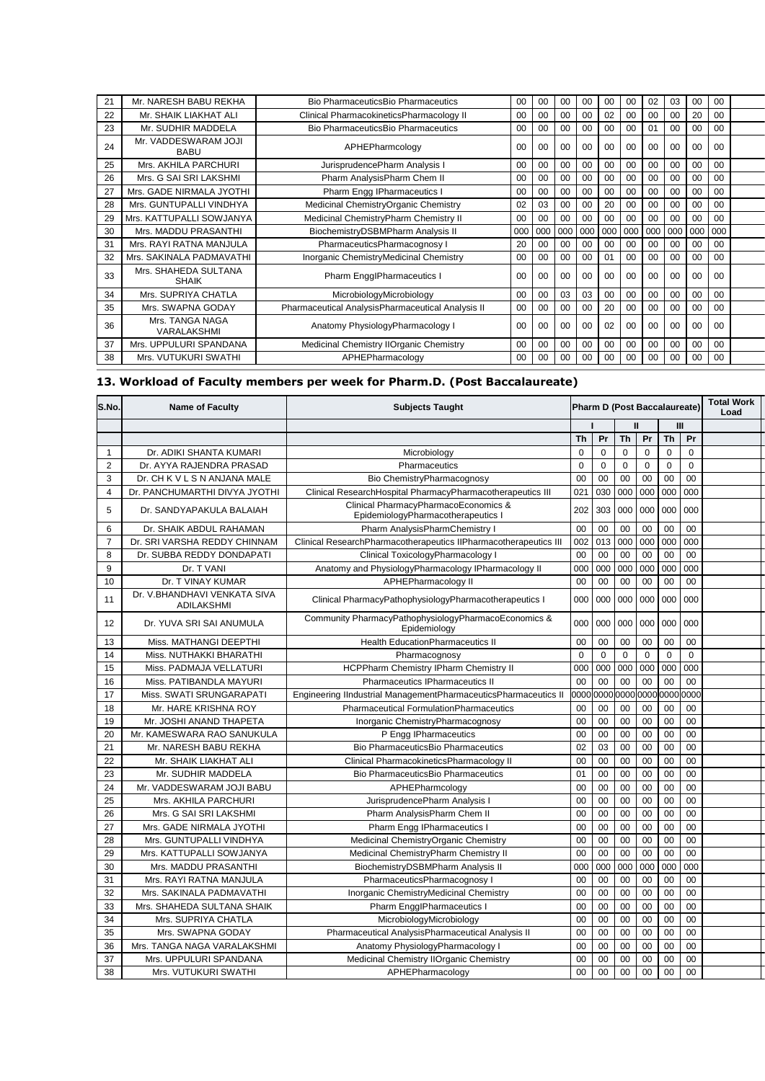| 21 | Mr. NARESH BABU REKHA                | <b>Bio PharmaceuticsBio Pharmaceutics</b>         | 00             | 00             | 00             | 00             | 00             | 00             | 02             | 03             | 00             | 00             |  |
|----|--------------------------------------|---------------------------------------------------|----------------|----------------|----------------|----------------|----------------|----------------|----------------|----------------|----------------|----------------|--|
| 22 | Mr. SHAIK LIAKHAT ALI                | Clinical PharmacokineticsPharmacology II          | 00             | 00             | 00             | 00             | 02             | $00 \,$        | 00             | 00             | 20             | 00             |  |
| 23 | Mr. SUDHIR MADDELA                   | Bio PharmaceuticsBio Pharmaceutics                | 00             | 00             | 00             | 00             | 00             | 00             | 01             | 00             | 00             | 00             |  |
| 24 | Mr. VADDESWARAM JOJI<br><b>BABU</b>  | APHEPharmcology                                   | 0 <sub>0</sub> | 00             | 00             | 00             | 00             | 00             | 00             | 00             | 00             | 00             |  |
| 25 | Mrs. AKHILA PARCHURI                 | JurisprudencePharm Analysis I                     | 00             | 00             | 00             | 00             | 00             | $00 \,$        | 00             | 00             | 00             | 00             |  |
| 26 | Mrs. G SAI SRI LAKSHMI               | Pharm AnalysisPharm Chem II                       | 0 <sub>0</sub> | 00             | 00             | 00             | 00             | 00             | 00             | 00             | 00             | 00             |  |
| 27 | Mrs. GADE NIRMALA JYOTHI             | Pharm Engg IPharmaceutics I                       | 00             | 00             | 00             | 00             | 00             | 00             | 00             | 00             | 00             | $00 \,$        |  |
| 28 | Mrs. GUNTUPALLI VINDHYA              | Medicinal ChemistryOrganic Chemistry              | 02             | 03             | 00             | 00             | 20             | 00             | 00             | 00             | 00             | $00 \,$        |  |
| 29 | Mrs. KATTUPALLI SOWJANYA             | Medicinal ChemistryPharm Chemistry II             | 00             | 00             | 00             | 00             | 00             | 00             | 00             | 00             | 00             | 00             |  |
| 30 | Mrs. MADDU PRASANTHI                 | BiochemistryDSBMPharm Analysis II                 | 000            | 000            | 000            | 000            | 000            | 000            | 000            | 000            | 000            | 000            |  |
| 31 | Mrs. RAYI RATNA MANJULA              | PharmaceuticsPharmacognosy I                      | 20             | 00             | 00             | 00             | 00             | $00 \,$        | 00             | 00             | 00             | $00 \,$        |  |
| 32 | Mrs. SAKINALA PADMAVATHI             | Inorganic ChemistryMedicinal Chemistry            | 00             | 00             | $00 \,$        | 00             | 01             | $00 \,$        | 0 <sub>0</sub> | 0 <sub>0</sub> | 00             | 0 <sub>0</sub> |  |
| 33 | Mrs. SHAHEDA SULTANA<br><b>SHAIK</b> | Pharm EngglPharmaceutics I                        | 00             | 0 <sub>0</sub> | 0 <sub>0</sub> | 0 <sub>0</sub> | 0 <sub>0</sub> | 0 <sub>0</sub> | 0 <sub>0</sub> | 0 <sub>0</sub> | 0 <sub>0</sub> | 0 <sub>0</sub> |  |
| 34 | Mrs. SUPRIYA CHATLA                  | MicrobiologyMicrobiology                          | 00             | 00             | 03             | 03             | 00             | 00             | 00             | 00             | 00             | $00 \,$        |  |
| 35 | Mrs. SWAPNA GODAY                    | Pharmaceutical AnalysisPharmaceutical Analysis II | 00             | 00             | $00\,$         | 00             | 20             | $00 \,$        | 00             | 00             | 00             | 0 <sub>0</sub> |  |
| 36 | Mrs. TANGA NAGA<br>VARALAKSHMI       | Anatomy PhysiologyPharmacology I                  | 0 <sub>0</sub> | 0 <sub>0</sub> | 0 <sub>0</sub> | 00             | 02             | 0 <sub>0</sub> | 0 <sub>0</sub> | 0 <sub>0</sub> | 0 <sub>0</sub> | 0 <sub>0</sub> |  |
| 37 | Mrs. UPPULURI SPANDANA               | Medicinal Chemistry IIOrganic Chemistry           | 00             | 00             | 00             | 00             | 00             | 0 <sub>0</sub> | 00             | 00             | 00             | 0 <sub>0</sub> |  |
| 38 | Mrs. VUTUKURI SWATHI                 | APHEPharmacology                                  | 00             | 00             | 00             | 00             | 00             | 00             | 00             | 00             | 00             | 00             |  |

## **13. Workload of Faculty members per week for Pharm.D. (Post Baccalaureate)**

| S.No.          | <b>Name of Faculty</b>                      | <b>Pharm D (Post Baccalaureate)</b><br><b>Subjects Taught</b>              |             | <b>Total Work</b><br>Load |             |             |             |                |  |
|----------------|---------------------------------------------|----------------------------------------------------------------------------|-------------|---------------------------|-------------|-------------|-------------|----------------|--|
|                |                                             |                                                                            |             |                           |             | Ш           |             | Ш              |  |
|                |                                             |                                                                            | <b>Th</b>   | Pr                        | <b>Th</b>   | Pr          | <b>Th</b>   | Pr             |  |
| $\mathbf{1}$   | Dr. ADIKI SHANTA KUMARI                     | Microbiology                                                               | 0           | $\mathbf 0$               | $\mathbf 0$ | $\mathbf 0$ | $\mathbf 0$ | $\Omega$       |  |
| $\overline{2}$ | Dr. AYYA RAJENDRA PRASAD                    | Pharmaceutics                                                              | $\Omega$    | $\Omega$                  | $\mathbf 0$ | $\Omega$    | $\Omega$    | $\Omega$       |  |
| 3              | Dr. CH K V L S N ANJANA MALE                | Bio ChemistryPharmacognosy                                                 | 00          | 00                        | 00          | 00          | 00          | 00             |  |
| 4              | Dr. PANCHUMARTHI DIVYA JYOTHI               | Clinical ResearchHospital PharmacyPharmacotherapeutics III                 | 021         | 030                       | 000         | 000         | 000         | 000            |  |
| 5              | Dr. SANDYAPAKULA BALAIAH                    | Clinical PharmacyPharmacoEconomics &<br>EpidemiologyPharmacotherapeutics I | 202         | 303                       | 000         | 000         | 000         | 000            |  |
| 6              | Dr. SHAIK ABDUL RAHAMAN                     | Pharm AnalysisPharmChemistry I                                             | 00          | 00                        | 00          | 00          | 00          | 00             |  |
| $\overline{7}$ | Dr. SRI VARSHA REDDY CHINNAM                | Clinical ResearchPharmacotherapeutics IIPharmacotherapeutics III           | 002         | 013                       | 000         | 000         | 000         | 000            |  |
| 8              | Dr. SUBBA REDDY DONDAPATI                   | Clinical ToxicologyPharmacology I                                          | 00          | 00                        | 00          | 00          | 00          | 00             |  |
| 9              | Dr. T VANI                                  | Anatomy and PhysiologyPharmacology IPharmacology II                        | 000         | 000                       | 000         | 000         | 000         | 000            |  |
| 10             | Dr. T VINAY KUMAR                           | APHEPharmacology II                                                        | 00          | 00                        | 00          | 00          | 00          | 00             |  |
| 11             | Dr. V. BHANDHAVI VENKATA SIVA<br>ADILAKSHMI | Clinical PharmacyPathophysiologyPharmacotherapeutics I                     | 000         | 000                       | 000         | 000         | 000         | 000            |  |
| 12             | Dr. YUVA SRI SAI ANUMULA                    | Community PharmacyPathophysiologyPharmacoEconomics &<br>Epidemiology       | 000         | 000                       | 000         | 000         | 000         | 000            |  |
| 13             | Miss. MATHANGI DEEPTHI                      | <b>Health EducationPharmaceutics II</b>                                    | 00          | 00                        | 00          | 00          | 00          | 00             |  |
| 14             | Miss. NUTHAKKI BHARATHI                     | Pharmacognosy                                                              | $\mathbf 0$ | $\mathbf 0$               | $\mathbf 0$ | $\mathbf 0$ | $\mathbf 0$ | $\mathbf 0$    |  |
| 15             | Miss. PADMAJA VELLATURI                     | <b>HCPPharm Chemistry IPharm Chemistry II</b>                              | 000         | 000                       | 000         | 000         | 000         | 000            |  |
| 16             | Miss. PATIBANDLA MAYURI                     | Pharmaceutics IPharmaceutics II                                            | 00          | 00                        | 00          | 00          | 00          | 00             |  |
| 17             | Miss. SWATI SRUNGARAPATI                    | Engineering IIndustrial ManagementPharmaceuticsPharmaceutics II            | 0000        | 0000                      | 0000        | 0000        | 0000        | 0000           |  |
| 18             | Mr. HARE KRISHNA ROY                        | <b>Pharmaceutical FormulationPharmaceutics</b>                             | 00          | 00                        | 00          | 00          | 00          | 00             |  |
| 19             | Mr. JOSHI ANAND THAPETA                     | Inorganic ChemistryPharmacognosy                                           | 00          | 00                        | 00          | 00          | 00          | 00             |  |
| 20             | Mr. KAMESWARA RAO SANUKULA                  | P Engg IPharmaceutics                                                      | 00          | 00                        | 00          | 00          | 00          | 00             |  |
| 21             | Mr. NARESH BABU REKHA                       | Bio PharmaceuticsBio Pharmaceutics                                         | 02          | 03                        | 00          | 00          | 00          | 0 <sub>0</sub> |  |
| 22             | Mr. SHAIK LIAKHAT ALI                       | Clinical PharmacokineticsPharmacology II                                   | 00          | 00                        | 00          | 00          | 00          | 00             |  |
| 23             | Mr. SUDHIR MADDELA                          | Bio PharmaceuticsBio Pharmaceutics                                         | 01          | 00                        | 00          | 00          | 00          | 00             |  |
| 24             | Mr. VADDESWARAM JOJI BABU                   | APHEPharmcology                                                            | 00          | 00                        | 00          | 00          | 00          | 00             |  |
| 25             | Mrs. AKHILA PARCHURI                        | JurisprudencePharm Analysis I                                              | 00          | 00                        | 00          | 00          | 00          | 00             |  |
| 26             | Mrs. G SAI SRI LAKSHMI                      | Pharm AnalysisPharm Chem II                                                | 00          | 00                        | 00          | 00          | 00          | 00             |  |
| 27             | Mrs. GADE NIRMALA JYOTHI                    | Pharm Engg IPharmaceutics I                                                | 00          | 00                        | 00          | 00          | 00          | 00             |  |
| 28             | Mrs. GUNTUPALLI VINDHYA                     | Medicinal ChemistryOrganic Chemistry                                       | 00          | 00                        | 00          | 00          | 00          | 00             |  |
| 29             | Mrs. KATTUPALLI SOWJANYA                    | Medicinal ChemistryPharm Chemistry II                                      | 00          | 00                        | 00          | 00          | 00          | 00             |  |
| 30             | Mrs. MADDU PRASANTHI                        | BiochemistryDSBMPharm Analysis II                                          | 000         | 000                       | 000         | 000         | 000         | 000            |  |
| 31             | Mrs. RAYI RATNA MANJULA                     | PharmaceuticsPharmacognosy I                                               | 00          | 00                        | 00          | 00          | 00          | 00             |  |
| 32             | Mrs. SAKINALA PADMAVATHI                    | Inorganic ChemistryMedicinal Chemistry                                     | 00          | 00                        | 00          | 00          | 00          | 00             |  |
| 33             | Mrs. SHAHEDA SULTANA SHAIK                  | Pharm EngglPharmaceutics I                                                 | 00          | 00                        | 00          | 00          | 00          | 00             |  |
| 34             | Mrs. SUPRIYA CHATLA                         | MicrobiologyMicrobiology                                                   | 00          | 00                        | 00          | 00          | 00          | 0 <sub>0</sub> |  |
| 35             | Mrs. SWAPNA GODAY                           | Pharmaceutical AnalysisPharmaceutical Analysis II                          | 00          | 00                        | 00          | 00          | 00          | 00             |  |
| 36             | Mrs. TANGA NAGA VARALAKSHMI                 | Anatomy PhysiologyPharmacology I                                           | 00          | 00                        | 00          | 00          | 00          | 00             |  |
| 37             | Mrs. UPPULURI SPANDANA                      | Medicinal Chemistry IIOrganic Chemistry                                    | 00          | 00                        | 00          | 00          | 00          | 00             |  |
| 38             | Mrs. VUTUKURI SWATHI                        | APHEPharmacology                                                           | 00          | 00                        | 00          | 00          | 00          | 00             |  |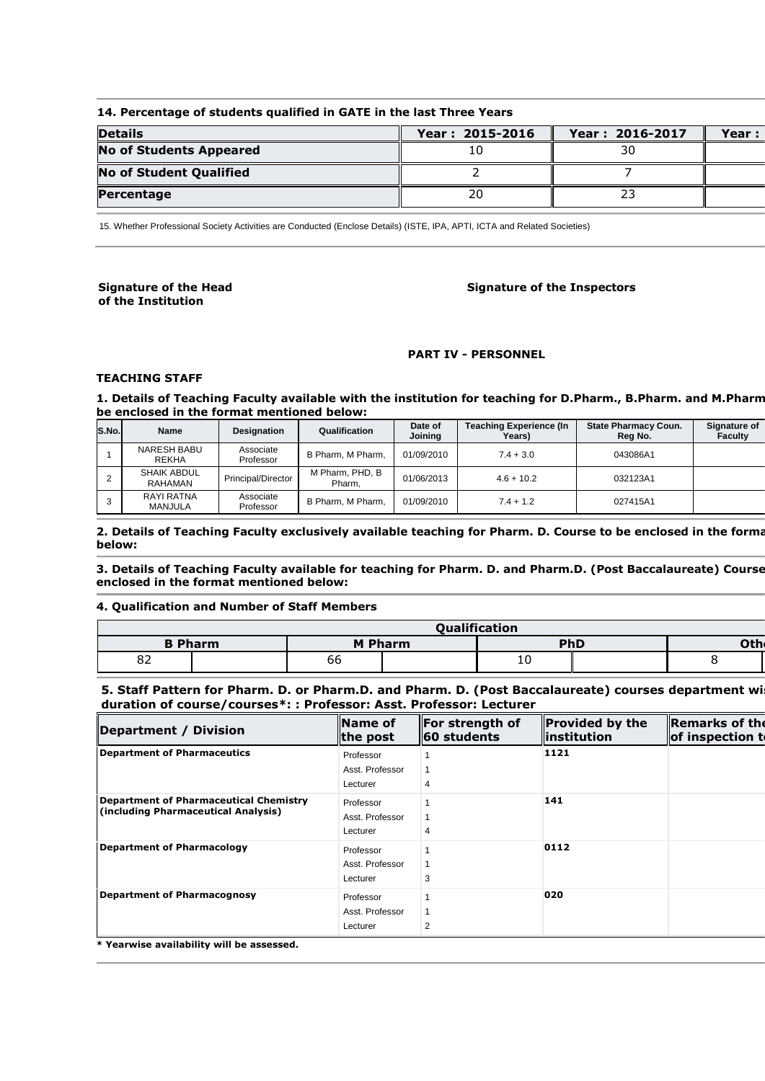## **14. Percentage of students qualified in GATE in the last Three Years**

| <b>Details</b>                 | Year: 2015-2016 | Year: 2016-2017 | Year: |
|--------------------------------|-----------------|-----------------|-------|
| <b>No of Students Appeared</b> | 10              | 30              |       |
| No of Student Qualified        |                 |                 |       |
| Percentage                     | 20              | 23              |       |

15. Whether Professional Society Activities are Conducted (Enclose Details) (ISTE, IPA, APTI, ICTA and Related Societies)

#### **Signature of the Head of the Institution**

#### **Signature of the Inspectors**

#### **PART IV - PERSONNEL**

#### **TEACHING STAFF**

1. Details of Teaching Faculty available with the institution for teaching for D.Pharm., B.Pharm. and M.Pharm **be enclosed in the format mentioned below:** 

| S.No. | Name                          | <b>Designation</b>     | Qualification             | Date of<br>Joining | <b>Teaching Experience (In</b><br><b>Years</b> ) | <b>State Pharmacy Coun.</b><br>Reg No. | Signature of<br><b>Faculty</b> |
|-------|-------------------------------|------------------------|---------------------------|--------------------|--------------------------------------------------|----------------------------------------|--------------------------------|
|       | NARESH BABU<br><b>REKHA</b>   | Associate<br>Professor | B Pharm, M Pharm,         | 01/09/2010         | $7.4 + 3.0$                                      | 043086A1                               |                                |
|       | <b>SHAIK ABDUL</b><br>RAHAMAN | Principal/Director     | M Pharm, PHD, B<br>Pharm. | 01/06/2013         | $4.6 + 10.2$                                     | 032123A1                               |                                |
|       | RAYI RATNA<br>MANJULA         | Associate<br>Professor | B Pharm, M Pharm,         | 01/09/2010         | $7.4 + 1.2$                                      | 027415A1                               |                                |

2. Details of Teaching Faculty exclusively available teaching for Pharm. D. Course to be enclosed in the forma **below:** 

3. Details of Teaching Faculty available for teaching for Pharm. D. and Pharm.D. (Post Baccalaureate) Course **enclosed in the format mentioned below:** 

#### **4. Qualification and Number of Staff Members**

|    | <b>Oualification</b> |    |                |    |     |                  |  |  |  |  |  |  |  |
|----|----------------------|----|----------------|----|-----|------------------|--|--|--|--|--|--|--|
|    | <b>B</b> Pharm       |    | <b>M Pharm</b> |    | PhD | Oth <sub>®</sub> |  |  |  |  |  |  |  |
| 82 |                      | 66 |                | 10 |     |                  |  |  |  |  |  |  |  |

#### **5. Staff Pattern for Pharm. D. or Pharm.D. and Pharm. D. (Post Baccalaureate) courses department wi duration of course/courses\*: : Professor: Asst. Professor: Lecturer**

| Department / Division                                                         | $\blacksquare$ Name of<br>$\ $ the post  | <b>For strength of</b><br><b>60 students</b> | Provided by the<br>$\sf{linstitution}$ | <b>Remarks of the</b><br>of inspection to |
|-------------------------------------------------------------------------------|------------------------------------------|----------------------------------------------|----------------------------------------|-------------------------------------------|
| Department of Pharmaceutics                                                   | Professor<br>Asst. Professor<br>Lecturer | 4                                            | 1121                                   |                                           |
| Department of Pharmaceutical Chemistry<br>(including Pharmaceutical Analysis) | Professor<br>Asst. Professor<br>Lecturer |                                              | 141                                    |                                           |
| Department of Pharmacology                                                    | Professor<br>Asst. Professor<br>Lecturer | 3                                            | 0112                                   |                                           |
| Department of Pharmacognosy                                                   | Professor<br>Asst. Professor<br>Lecturer | 2                                            | 020                                    |                                           |
| * Magnutes aughblitter will be accessed                                       |                                          |                                              |                                        |                                           |

**\* Yearwise availability will be assessed.**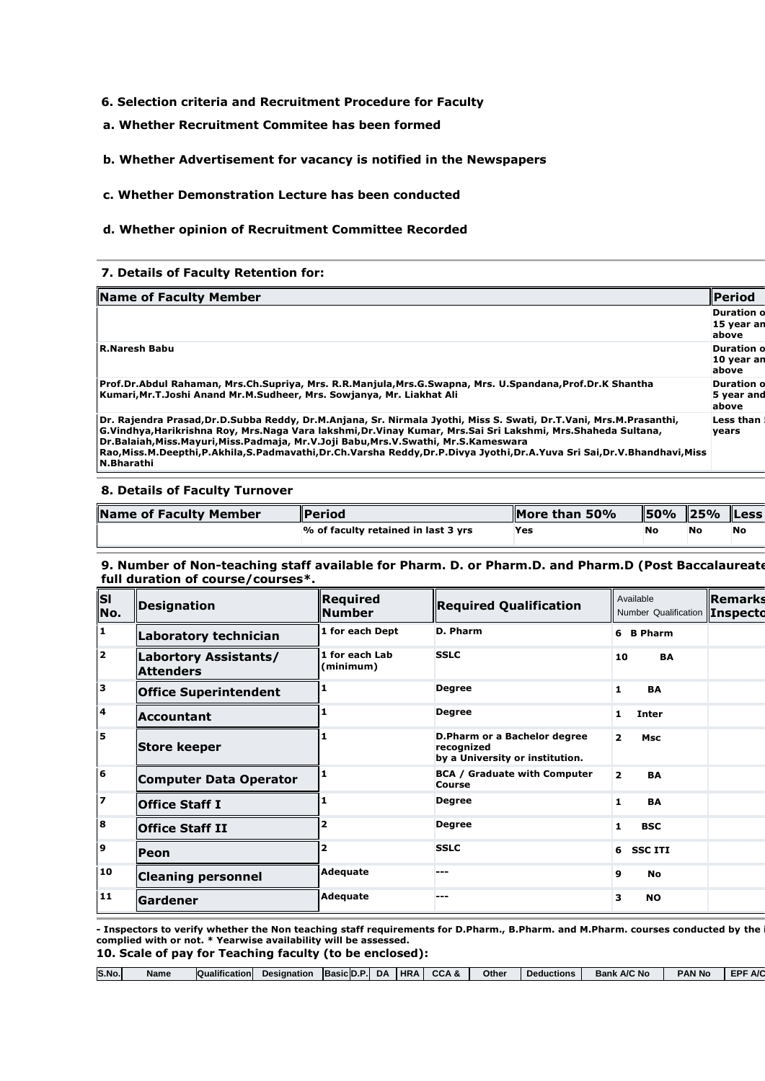## **6. Selection criteria and Recruitment Procedure for Faculty**

**a. Whether Recruitment Commitee has been formed** 

## **b. Whether Advertisement for vacancy is notified in the Newspapers**

#### **c. Whether Demonstration Lecture has been conducted**

#### **d. Whether opinion of Recruitment Committee Recorded**

## **7. Details of Faculty Retention for:**

| Name of Faculty Member                                                                                                                                                                                                                                                                                                                                                                                                                                      | llPeriod                                  |
|-------------------------------------------------------------------------------------------------------------------------------------------------------------------------------------------------------------------------------------------------------------------------------------------------------------------------------------------------------------------------------------------------------------------------------------------------------------|-------------------------------------------|
|                                                                                                                                                                                                                                                                                                                                                                                                                                                             | <b>Duration o</b><br>15 year an<br>above  |
| <b>IR.Naresh Babu</b>                                                                                                                                                                                                                                                                                                                                                                                                                                       | <b>Duration of</b><br>10 year an<br>above |
| Prof.Dr.Abdul Rahaman, Mrs.Ch.Supriya, Mrs. R.R.Manjula,Mrs.G.Swapna, Mrs. U.Spandana,Prof.Dr.K Shantha<br>Kumari,Mr.T.Joshi Anand Mr.M.Sudheer, Mrs. Sowianya, Mr. Liakhat Ali                                                                                                                                                                                                                                                                             | <b>Duration of</b><br>5 year and<br>above |
| Dr. Rajendra Prasad, Dr.D.Subba Reddy, Dr.M.Anjana, Sr. Nirmala Jyothi, Miss S. Swati, Dr.T.Vani, Mrs.M.Prasanthi,<br>G.Vindhya, Harikrishna Roy, Mrs.Naga Vara lakshmi, Dr.Vinay Kumar, Mrs.Sai Sri Lakshmi, Mrs.Shaheda Sultana,<br>Dr.Balaiah,Miss.Mavuri,Miss.Padmaia, Mr.V.Joii Babu,Mrs.V.Swathi, Mr.S.Kameswara<br>Rao,Miss.M.Deepthi,P.Akhila,S.Padmavathi,Dr.Ch.Varsha Reddy,Dr.P.Divya Jyothi,Dr.A.Yuva Sri Sai,Dr.V.Bhandhavi,Miss<br>N.Bharathi | Less than<br>vears                        |

#### **8. Details of Faculty Turnover**

| Name of Faculty Member | <b>Period</b>                       | More than 50% | <b>150%</b> | $\parallel$ 25% | <b>ILess</b> |
|------------------------|-------------------------------------|---------------|-------------|-----------------|--------------|
|                        | % of faculty retained in last 3 yrs | <b>Yes</b>    | No          |                 | No           |

#### **9. Number of Non-teaching staff available for Pharm. D. or Pharm.D. and Pharm.D (Post Baccalaureate course) for full duration of course/courses\*.**

| İsl<br>No.              | Designation                               | <b>Reauired</b><br><b>Number</b> | <b>Required Qualification</b>                                                 | Available<br>Number Qualification  Inspecto | <b>  Remarks</b> |
|-------------------------|-------------------------------------------|----------------------------------|-------------------------------------------------------------------------------|---------------------------------------------|------------------|
| 1                       | Laboratory technician                     | 1 for each Dept                  | D. Pharm                                                                      | <b>B</b> Pharm<br>6                         |                  |
| $\overline{\mathbf{2}}$ | Labortory Assistants/<br><b>Attenders</b> | 1 for each Lab<br>(minimum)      | <b>SSLC</b>                                                                   | <b>BA</b><br>10                             |                  |
| 1з                      | <b>Office Superintendent</b>              | 1                                | <b>Degree</b>                                                                 | $\mathbf{1}$<br><b>BA</b>                   |                  |
| $\overline{\mathbf{4}}$ | Accountant                                |                                  | <b>Degree</b>                                                                 | 1<br><b>Inter</b>                           |                  |
| 5                       | <b>Store keeper</b>                       |                                  | D.Pharm or a Bachelor degree<br>recognized<br>by a University or institution. | $\overline{2}$<br><b>Msc</b>                |                  |
| 6                       | <b>Computer Data Operator</b>             |                                  | <b>BCA / Graduate with Computer</b><br>Course                                 | $\overline{2}$<br><b>BA</b>                 |                  |
| 7                       | <b>Office Staff I</b>                     |                                  | <b>Degree</b>                                                                 | $\mathbf{1}$<br><b>BA</b>                   |                  |
| 8                       | <b>Office Staff II</b>                    |                                  | <b>Degree</b>                                                                 | <b>BSC</b><br>1                             |                  |
| 9                       | Peon                                      | $\overline{\mathbf{2}}$          | <b>SSLC</b>                                                                   | <b>SSCITI</b><br>6                          |                  |
| 10                      | <b>Cleaning personnel</b>                 | <b>Adequate</b>                  | ---                                                                           | 9<br><b>No</b>                              |                  |
| 11                      | <b>Gardener</b>                           | <b>Adequate</b>                  | ---                                                                           | 3<br><b>NO</b>                              |                  |

**- Inspectors to verify whether the Non teaching staff requirements for D.Pharm., B.Pharm. and M.Pharm. courses conducted by the institution are complied with or not. \* Yearwise availability will be assessed. 10. Scale of pay for Teaching faculty (to be enclosed):** 

| S.No. | Name | Qualification | <b>Designation</b> | Basic D.P. | <b>DA</b> | <b>IHRA</b> | CCA & | Other | <b>Deductions</b> | <b>Bank A/C No</b> | <b>PAN No</b> | EDE<br><b>A/C</b> |
|-------|------|---------------|--------------------|------------|-----------|-------------|-------|-------|-------------------|--------------------|---------------|-------------------|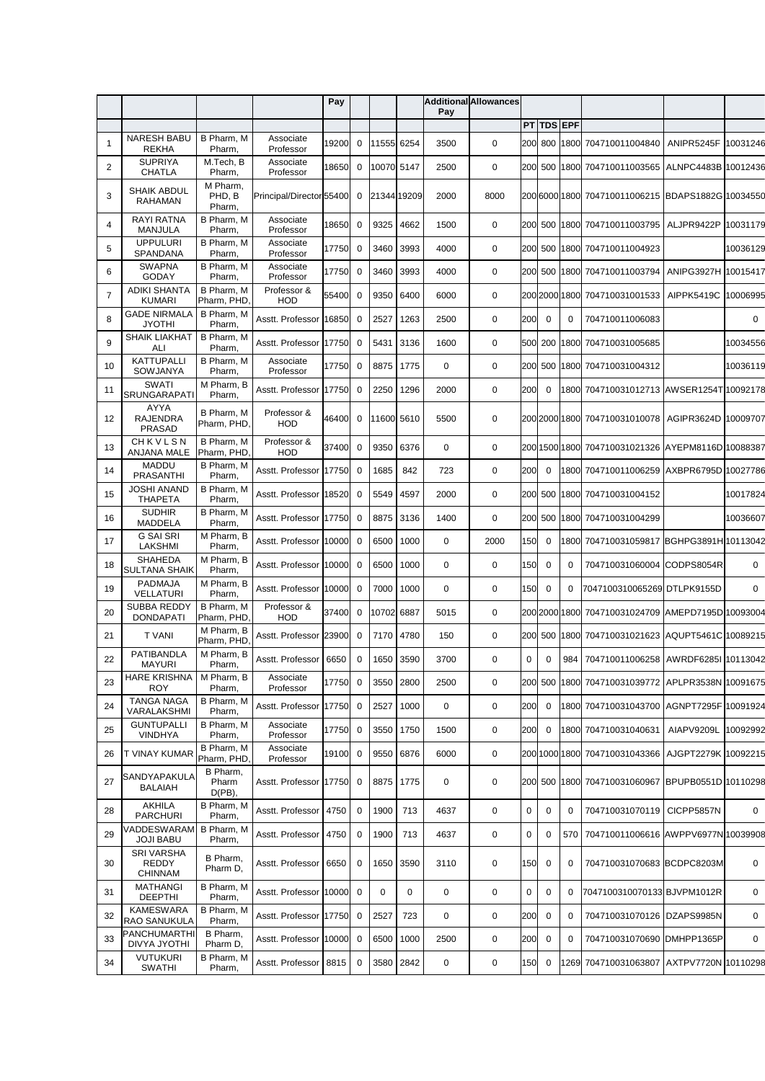|    |                                                 |                                |                           | Pay   |             |             |      | Pay         | <b>Additional Allowances</b> |             |             |               |                                                 |                     |             |
|----|-------------------------------------------------|--------------------------------|---------------------------|-------|-------------|-------------|------|-------------|------------------------------|-------------|-------------|---------------|-------------------------------------------------|---------------------|-------------|
|    |                                                 |                                |                           |       |             |             |      |             |                              |             | PT TDS EPF  |               |                                                 |                     |             |
| 1  | <b>NARESH BABU</b><br><b>REKHA</b>              | B Pharm, M<br>Pharm,           | Associate<br>Professor    | 19200 | 0           | 11555       | 6254 | 3500        | 0                            |             | 200 800     | 1800          | 704710011004840                                 | ANIPR5245F          | 10031246    |
| 2  | <b>SUPRIYA</b><br><b>CHATLA</b>                 | M.Tech, B<br>Pharm,            | Associate<br>Professor    | 18650 | 0           | 10070 5147  |      | 2500        | $\mathbf 0$                  | 200         | 500         | 1800          | 704710011003565                                 | ALNPC4483B 10012436 |             |
| 3  | SHAIK ABDUL<br>RAHAMAN                          | M Pharm,<br>PHD, B<br>Pharm,   | Principal/Director 55400  |       | $\mathbf 0$ | 21344 19209 |      | 2000        | 8000                         |             |             |               | 20060001800 704710011006215 BDAPS1882G 10034550 |                     |             |
| 4  | <b>RAYI RATNA</b><br><b>MANJULA</b>             | B Pharm, M<br>Pharm,           | Associate<br>Professor    | 18650 | $\mathbf 0$ | 9325        | 4662 | 1500        | $\mathbf 0$                  |             | 200 500     | 1800          | 704710011003795                                 | ALJPR9422P          | 10031179    |
| 5  | <b>UPPULURI</b><br>SPANDANA                     | B Pharm, M<br>Pharm,           | Associate<br>Professor    | 17750 | $\mathbf 0$ | 3460        | 3993 | 4000        | 0                            |             | 200 500     | 1800          | 704710011004923                                 |                     | 10036129    |
| 6  | <b>SWAPNA</b><br><b>GODAY</b>                   | B Pharm, M<br>Pharm,           | Associate<br>Professor    | 17750 | $\mathbf 0$ | 3460        | 3993 | 4000        | 0                            |             | 200 500     | 1800          | 704710011003794                                 | ANIPG3927H 10015417 |             |
| 7  | <b>ADIKI SHANTA</b><br><b>KUMARI</b>            | B Pharm. M<br>Pharm, PHD,      | Professor &<br>HOD        | 55400 | $\mathbf 0$ | 9350        | 6400 | 6000        | 0                            |             |             | 200 2000 1800 | 704710031001533                                 | AIPPK5419C          | 10006995    |
| 8  | <b>GADE NIRMALA</b><br><b>JYOTHI</b>            | B Pharm, M<br>Pharm,           | Asstt. Professor          | 16850 | $\mathbf 0$ | 2527        | 1263 | 2500        | 0                            | 200         | $\mathbf 0$ | $\mathbf 0$   | 704710011006083                                 |                     | $\mathbf 0$ |
| 9  | <b>SHAIK LIAKHAT</b><br>ALI                     | B Pharm, M<br>Pharm,           | Asstt. Professor          | 17750 | $\mathbf 0$ | 5431        | 3136 | 1600        | 0                            | 500         | 200         | 1800          | 704710031005685                                 |                     | 10034556    |
| 10 | <b>KATTUPALLI</b><br>SOWJANYA                   | B Pharm, M<br>Pharm,           | Associate<br>Professor    | 17750 | $\mathbf 0$ | 8875        | 1775 | 0           | 0                            | 200         | 500         |               | 1800 704710031004312                            |                     | 10036119    |
| 11 | <b>SWATI</b><br>SRUNGARAPATI                    | M Pharm, B<br>Pharm,           | Asstt. Professor          | 17750 | $\mathbf 0$ | 2250        | 1296 | 2000        | 0                            | 200         | 0           | 1800          | 704710031012713 AWSER1254T 10092178             |                     |             |
| 12 | <b>AYYA</b><br><b>RAJENDRA</b><br><b>PRASAD</b> | B Pharm, M<br>Pharm, PHD,      | Professor &<br><b>HOD</b> | 46400 | $\mathbf 0$ | 11600 5610  |      | 5500        | 0                            |             |             |               | 200 2000 1800 704710031010078                   | AGIPR3624D 10009707 |             |
| 13 | CHKVLSN<br><b>ANJANA MALE</b>                   | B Pharm, M<br>Pharm, PHD,      | Professor &<br><b>HOD</b> | 37400 | 0           | 9350        | 6376 | 0           | 0                            |             |             | 200 1500 1800 | 704710031021326 AYEPM8116D 10088387             |                     |             |
| 14 | <b>MADDU</b><br><b>PRASANTHI</b>                | B Pharm, M<br>Pharm,           | Asstt. Professor          | 17750 | 0           | 1685        | 842  | 723         | 0                            | 200         | $\mathbf 0$ | 1800          | 704710011006259 AXBPR6795D 10027786             |                     |             |
| 15 | <b>JOSHI ANAND</b><br><b>THAPETA</b>            | B Pharm, M<br>Pharm,           | Asstt. Professor          | 18520 | $\mathbf 0$ | 5549        | 4597 | 2000        | 0                            |             | 200 500     | 1800          | 704710031004152                                 |                     | 10017824    |
| 16 | <b>SUDHIR</b><br>MADDELA                        | B Pharm, M<br>Pharm,           | Asstt. Professor [17750]  |       | $\mathbf 0$ | 8875        | 3136 | 1400        | 0                            | 2001        | 500         | 1800          | 704710031004299                                 |                     | 10036607    |
| 17 | <b>G SAI SRI</b><br>LAKSHMI                     | M Pharm, B<br>Pharm,           | Asstt. Professor          | 10000 | $\mathbf 0$ | 6500        | 1000 | 0           | 2000                         | 150         | $\mathbf 0$ | 1800          | 704710031059817 BGHPG3891H 10113042             |                     |             |
| 18 | <b>SHAHEDA</b><br><b>SULTANA SHAIK</b>          | M Pharm, B<br>Pharm,           | Asstt. Professor          | 10000 | $\mathbf 0$ | 6500        | 1000 | 0           | 0                            | 150         | $\mathbf 0$ | $\mathbf 0$   | 704710031060004 CODPS8054R                      |                     | 0           |
| 19 | PADMAJA<br>VELLATURI                            | M Pharm, B<br>Pharm,           | Asstt. Professor          | 10000 | $\mathbf 0$ | 7000        | 1000 | 0           | 0                            | 150         | $\mathbf 0$ | $\Omega$      | 7047100310065269 DTLPK9155D                     |                     | $\mathbf 0$ |
| 20 | <b>SUBBA REDDY</b><br><b>DONDAPATI</b>          | B Pharm, M<br>Pharm, PHD,      | Professor &<br><b>HOD</b> | 37400 | $\mathbf 0$ | 10702       | 6887 | 5015        | 0                            |             |             | 200 2000 1800 | 704710031024709 AMEPD7195D 10093004             |                     |             |
| 21 | <b>T VANI</b>                                   | M Pharm, B<br>Pharm, PHD,      | Asstt. Professor          | 23900 | $\mathbf 0$ | 7170        | 4780 | 150         | 0                            | 200         | 500         |               | 1800 704710031021623                            | AQUPT5461C 10089215 |             |
| 22 | <b>PATIBANDLA</b><br><b>MAYURI</b>              | M Pharm, B<br>Pharm,           | Asstt. Professor          | 6650  | $\mathbf 0$ | 1650        | 3590 | 3700        | 0                            | 0           | 0           | 984           | 704710011006258 AWRDF6285I 10113042             |                     |             |
| 23 | <b>HARE KRISHNA</b><br><b>ROY</b>               | M Pharm, B<br>Pharm,           | Associate<br>Professor    | 17750 | 0           | 3550        | 2800 | 2500        | 0                            | 200         | 500         | 1800          | 704710031039772                                 | APLPR3538N 10091675 |             |
| 24 | <b>TANGA NAGA</b><br>VARALAKSHMI                | B Pharm, M<br>Pharm,           | Asstt. Professor          | 17750 | $\mathbf 0$ | 2527        | 1000 | 0           | 0                            | 200         | $\mathbf 0$ | 1800          | 704710031043700                                 | AGNPT7295F 10091924 |             |
| 25 | <b>GUNTUPALLI</b><br><b>VINDHYA</b>             | B Pharm, M<br>Pharm,           | Associate<br>Professor    | 17750 | $\mathbf 0$ | 3550        | 1750 | 1500        | 0                            | 200         | $\mathbf 0$ | 1800          | 704710031040631                                 | AIAPV9209L          | 10092992    |
| 26 | T VINAY KUMAR                                   | B Pharm, M<br>Pharm, PHD,      | Associate<br>Professor    | 19100 | $\mathbf 0$ | 9550        | 6876 | 6000        | 0                            |             |             |               | 200 1000 1800 704710031043366                   | AJGPT2279K 10092215 |             |
| 27 | SANDYAPAKULA<br><b>BALAIAH</b>                  | B Pharm,<br>Pharm<br>$D(PB)$ , | Asstt. Professor          | 17750 | 0           | 8875        | 1775 | 0           | 0                            |             | 200 500     |               | 1800 704710031060967                            | BPUPB0551D 10110298 |             |
| 28 | <b>AKHILA</b><br><b>PARCHURI</b>                | B Pharm, M<br>Pharm,           | Asstt. Professor          | 4750  | $\mathbf 0$ | 1900        | 713  | 4637        | 0                            | $\mathbf 0$ | 0           | $\Omega$      | 704710031070119                                 | CICPP5857N          | 0           |
| 29 | VADDESWARAM<br><b>JOJI BABU</b>                 | B Pharm, M<br>Pharm,           | Asstt. Professor          | 4750  | $\mathbf 0$ | 1900        | 713  | 4637        | 0                            | 0           | 0           | 570           | 704710011006616 AWPPV6977N 10039908             |                     |             |
| 30 | <b>SRI VARSHA</b><br>REDDY<br><b>CHINNAM</b>    | B Pharm,<br>Pharm D,           | Asstt. Professor          | 6650  | 0           | 1650        | 3590 | 3110        | 0                            | 150         | 0           | 0             | 704710031070683 BCDPC8203M                      |                     | 0           |
| 31 | <b>MATHANGI</b><br><b>DEEPTHI</b>               | B Pharm, M<br>Pharm,           | Asstt. Professor          | 10000 | $\mathbf 0$ | $\mathbf 0$ | 0    | $\mathbf 0$ | 0                            | $\mathbf 0$ | 0           | 0             | 7047100310070133 BJVPM1012R                     |                     | 0           |
| 32 | <b>KAMESWARA</b><br>RAO SANUKULA                | B Pharm, M<br>Pharm,           | Asstt. Professor          | 17750 | 0           | 2527        | 723  | 0           | 0                            | 200         | $\mathbf 0$ | $\mathbf 0$   | 704710031070126 DZAPS9985N                      |                     | 0           |
| 33 | PANCHUMARTHI<br>DIVYA JYOTHI                    | B Pharm,<br>Pharm D,           | Asstt. Professor          | 10000 | 0           | 6500        | 1000 | 2500        | 0                            | 200         | $\mathbf 0$ | 0             | 704710031070690 DMHPP1365P                      |                     | 0           |
| 34 | <b>VUTUKURI</b><br>SWATHI                       | B Pharm, M<br>Pharm,           | Asstt. Professor          | 8815  | 0           | 3580        | 2842 | 0           | 0                            | 150         | $\mathbf 0$ |               | 1269 704710031063807 AXTPV7720N 10110298        |                     |             |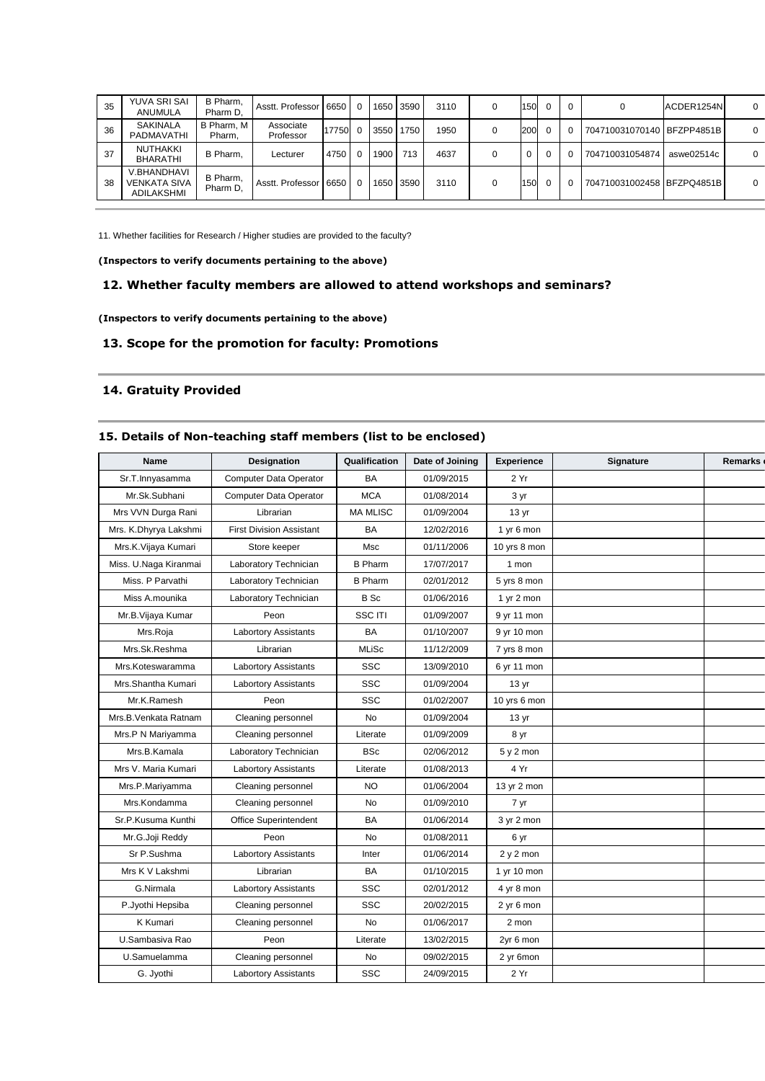| 35 | YUVA SRI SAI<br>ANUMULA                          | B Pharm,<br>Pharm D. | Asstt. Professor 16650 |       | $\Omega$ | 1650 | 3590 | 3110 | 0 | 150 |          |                            | ACDER1254N | $\Omega$ |
|----|--------------------------------------------------|----------------------|------------------------|-------|----------|------|------|------|---|-----|----------|----------------------------|------------|----------|
| 36 | SAKINALA<br>PADMAVATHI                           | B Pharm, M<br>Pharm. | Associate<br>Professor | 17750 | - 0      | 3550 | 1750 | 1950 | 0 | 200 | $\Omega$ | 704710031070140 BFZPP4851B |            | $\Omega$ |
| 37 | NUTHAKKI<br><b>BHARATHI</b>                      | B Pharm.             | Lecturer               | 4750  | $\Omega$ | 1900 | 713  | 4637 |   | 0   | $\Omega$ | 704710031054874            | aswe02514c | $\Omega$ |
| 38 | V.BHANDHAVI<br><b>VENKATA SIVA</b><br>ADILAKSHMI | B Pharm,<br>Pharm D. | Asstt. Professor 16650 |       | $\Omega$ | 1650 | 3590 | 3110 | 0 | 150 | $\Omega$ | 704710031002458 BFZPQ4851B |            | $\Omega$ |

11. Whether facilities for Research / Higher studies are provided to the faculty?

**(Inspectors to verify documents pertaining to the above)** 

## **12. Whether faculty members are allowed to attend workshops and seminars?**

**(Inspectors to verify documents pertaining to the above)** 

## **13. Scope for the promotion for faculty: Promotions**

## **14. Gratuity Provided**

## **15. Details of Non-teaching staff members (list to be enclosed)**

| <b>Name</b>           | Designation                     | Qualification   | Date of Joining | <b>Experience</b> | Signature | Remarks |
|-----------------------|---------------------------------|-----------------|-----------------|-------------------|-----------|---------|
| Sr.T.Innyasamma       | <b>Computer Data Operator</b>   | <b>BA</b>       | 01/09/2015      | 2 Yr              |           |         |
| Mr.Sk.Subhani         | <b>Computer Data Operator</b>   | <b>MCA</b>      | 01/08/2014      | $3 \, yr$         |           |         |
| Mrs VVN Durga Rani    | Librarian                       | <b>MA MLISC</b> | 01/09/2004      | 13 <sub>yr</sub>  |           |         |
| Mrs. K.Dhyrya Lakshmi | <b>First Division Assistant</b> | <b>BA</b>       | 12/02/2016      | 1 yr 6 mon        |           |         |
| Mrs.K.Vijaya Kumari   | Store keeper                    | <b>Msc</b>      | 01/11/2006      | 10 yrs 8 mon      |           |         |
| Miss. U.Naga Kiranmai | Laboratory Technician           | <b>B</b> Pharm  | 17/07/2017      | 1 mon             |           |         |
| Miss. P Parvathi      | Laboratory Technician           | <b>B</b> Pharm  | 02/01/2012      | 5 yrs 8 mon       |           |         |
| Miss A.mounika        | Laboratory Technician           | B Sc            | 01/06/2016      | 1 yr 2 mon        |           |         |
| Mr.B.Vijaya Kumar     | Peon                            | SSC ITI         | 01/09/2007      | 9 yr 11 mon       |           |         |
| Mrs.Roja              | <b>Labortory Assistants</b>     | <b>BA</b>       | 01/10/2007      | 9 yr 10 mon       |           |         |
| Mrs.Sk.Reshma         | Librarian                       | <b>MLiSc</b>    | 11/12/2009      | 7 yrs 8 mon       |           |         |
| Mrs.Koteswaramma      | <b>Labortory Assistants</b>     | <b>SSC</b>      | 13/09/2010      | 6 yr 11 mon       |           |         |
| Mrs.Shantha Kumari    | <b>Labortory Assistants</b>     | <b>SSC</b>      | 01/09/2004      | 13 <sub>vr</sub>  |           |         |
| Mr.K.Ramesh           | Peon                            | <b>SSC</b>      | 01/02/2007      | 10 yrs 6 mon      |           |         |
| Mrs.B.Venkata Ratnam  | Cleaning personnel              | <b>No</b>       | 01/09/2004      | 13 <sub>yr</sub>  |           |         |
| Mrs.P N Mariyamma     | Cleaning personnel              | Literate        | 01/09/2009      | 8 yr              |           |         |
| Mrs.B.Kamala          | Laboratory Technician           | <b>BSc</b>      | 02/06/2012      | $5y2$ mon         |           |         |
| Mrs V. Maria Kumari   | <b>Labortory Assistants</b>     | Literate        | 01/08/2013      | 4 Yr              |           |         |
| Mrs.P.Mariyamma       | Cleaning personnel              | <b>NO</b>       | 01/06/2004      | 13 yr 2 mon       |           |         |
| Mrs.Kondamma          | Cleaning personnel              | <b>No</b>       | 01/09/2010      | 7 yr              |           |         |
| Sr.P.Kusuma Kunthi    | Office Superintendent           | <b>BA</b>       | 01/06/2014      | 3 yr 2 mon        |           |         |
| Mr.G.Joji Reddy       | Peon                            | No              | 01/08/2011      | 6 yr              |           |         |
| Sr P.Sushma           | <b>Labortory Assistants</b>     | Inter           | 01/06/2014      | 2 y 2 mon         |           |         |
| Mrs K V Lakshmi       | Librarian                       | <b>BA</b>       | 01/10/2015      | 1 yr 10 mon       |           |         |
| G.Nirmala             | <b>Labortory Assistants</b>     | <b>SSC</b>      | 02/01/2012      | 4 yr 8 mon        |           |         |
| P.Jyothi Hepsiba      | Cleaning personnel              | <b>SSC</b>      | 20/02/2015      | 2 yr 6 mon        |           |         |
| <b>K</b> Kumari       | Cleaning personnel              | <b>No</b>       | 01/06/2017      | 2 mon             |           |         |
| U.Sambasiva Rao       | Peon                            | Literate        | 13/02/2015      | 2yr 6 mon         |           |         |
| U.Samuelamma          | Cleaning personnel              | No              | 09/02/2015      | 2 yr 6mon         |           |         |
| G. Jyothi             | <b>Labortory Assistants</b>     | <b>SSC</b>      | 24/09/2015      | 2 Yr              |           |         |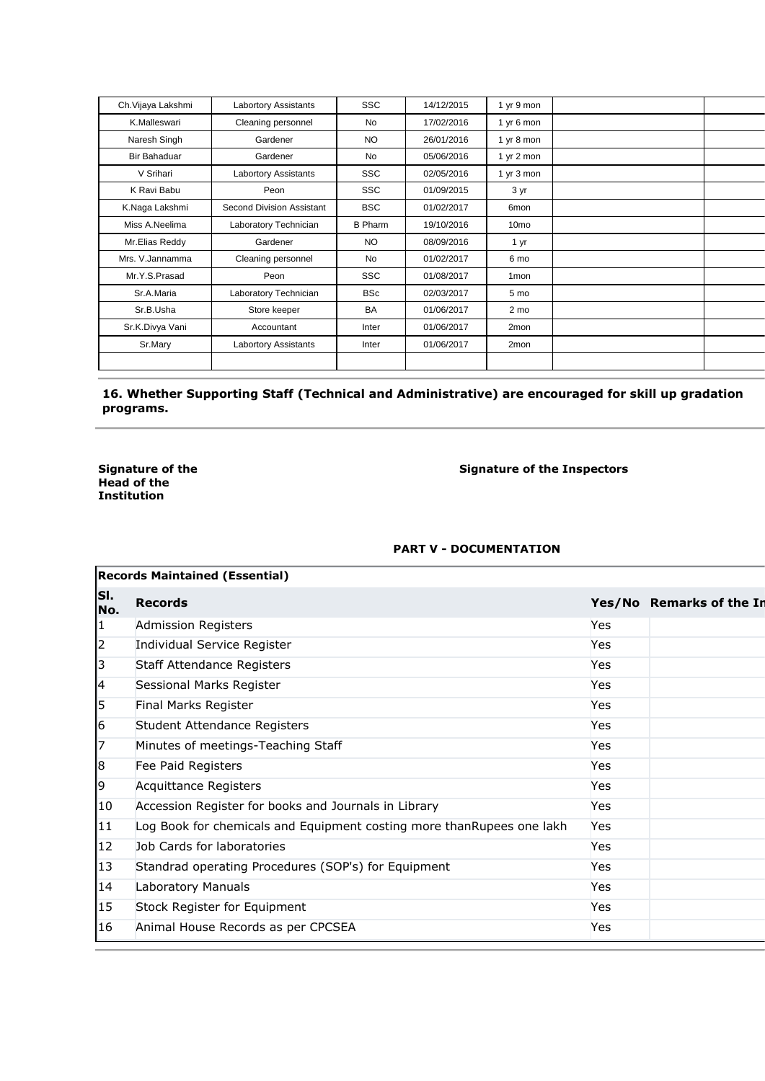| Ch. Vijaya Lakshmi | <b>Labortory Assistants</b> | <b>SSC</b>     | 14/12/2015 | 1 yr 9 mon           |  |
|--------------------|-----------------------------|----------------|------------|----------------------|--|
| K.Malleswari       | Cleaning personnel          | No             | 17/02/2016 | 1 yr 6 mon           |  |
| Naresh Singh       | Gardener                    | <b>NO</b>      | 26/01/2016 | 1 yr 8 mon           |  |
| Bir Bahaduar       | Gardener                    | No             | 05/06/2016 | 1 yr $2 \text{ mon}$ |  |
| V Srihari          | <b>Labortory Assistants</b> | <b>SSC</b>     | 02/05/2016 | 1 yr 3 mon           |  |
| K Ravi Babu        | Peon                        | <b>SSC</b>     | 01/09/2015 | 3 yr                 |  |
| K.Naga Lakshmi     | Second Division Assistant   | <b>BSC</b>     | 01/02/2017 | 6 <sub>mon</sub>     |  |
| Miss A.Neelima     | Laboratory Technician       | <b>B</b> Pharm | 19/10/2016 | 10 <sub>mo</sub>     |  |
| Mr.Elias Reddy     | Gardener                    | NO.            | 08/09/2016 | 1 yr                 |  |
| Mrs. V. Jannamma   | Cleaning personnel          | No             | 01/02/2017 | 6 mo                 |  |
| Mr.Y.S.Prasad      | Peon                        | <b>SSC</b>     | 01/08/2017 | 1 <sub>mon</sub>     |  |
| Sr.A.Maria         | Laboratory Technician       | <b>BSc</b>     | 02/03/2017 | 5 mo                 |  |
| Sr.B.Usha          | Store keeper                | <b>BA</b>      | 01/06/2017 | 2 mo                 |  |
| Sr.K.Divya Vani    | Accountant                  | Inter          | 01/06/2017 | 2mon                 |  |
| Sr.Mary            | <b>Labortory Assistants</b> | Inter          | 01/06/2017 | 2mon                 |  |
|                    |                             |                |            |                      |  |

## **16. Whether Supporting Staff (Technical and Administrative) are encouraged for skill up gradation programs.**

**Signature of the Head of the Institution** 

**Signature of the Inspectors** 

## **PART V - DOCUMENTATION**

|              | <b>Records Maintained (Essential)</b>                                 |     |                          |  |  |  |  |  |  |  |
|--------------|-----------------------------------------------------------------------|-----|--------------------------|--|--|--|--|--|--|--|
| SI.<br>No.   | <b>Records</b>                                                        |     | Yes/No Remarks of the In |  |  |  |  |  |  |  |
| 1            | Admission Registers                                                   | Yes |                          |  |  |  |  |  |  |  |
| 2            | Individual Service Register                                           | Yes |                          |  |  |  |  |  |  |  |
| 3            | Staff Attendance Registers                                            | Yes |                          |  |  |  |  |  |  |  |
| 4            | Sessional Marks Register                                              | Yes |                          |  |  |  |  |  |  |  |
| 5            | Final Marks Register                                                  | Yes |                          |  |  |  |  |  |  |  |
| 6            | Student Attendance Registers                                          | Yes |                          |  |  |  |  |  |  |  |
| 7            | Minutes of meetings-Teaching Staff                                    | Yes |                          |  |  |  |  |  |  |  |
| 8            | Fee Paid Registers                                                    | Yes |                          |  |  |  |  |  |  |  |
| 9            | Acquittance Registers                                                 | Yes |                          |  |  |  |  |  |  |  |
| 10           | Accession Register for books and Journals in Library                  | Yes |                          |  |  |  |  |  |  |  |
| 11           | Log Book for chemicals and Equipment costing more thanRupees one lakh | Yes |                          |  |  |  |  |  |  |  |
| $ 12\rangle$ | Job Cards for laboratories                                            | Yes |                          |  |  |  |  |  |  |  |
| 13           | Standrad operating Procedures (SOP's) for Equipment                   | Yes |                          |  |  |  |  |  |  |  |
| 14           | Laboratory Manuals                                                    | Yes |                          |  |  |  |  |  |  |  |
| 15           | Stock Register for Equipment                                          | Yes |                          |  |  |  |  |  |  |  |
| 16           | Animal House Records as per CPCSEA                                    | Yes |                          |  |  |  |  |  |  |  |
|              |                                                                       |     |                          |  |  |  |  |  |  |  |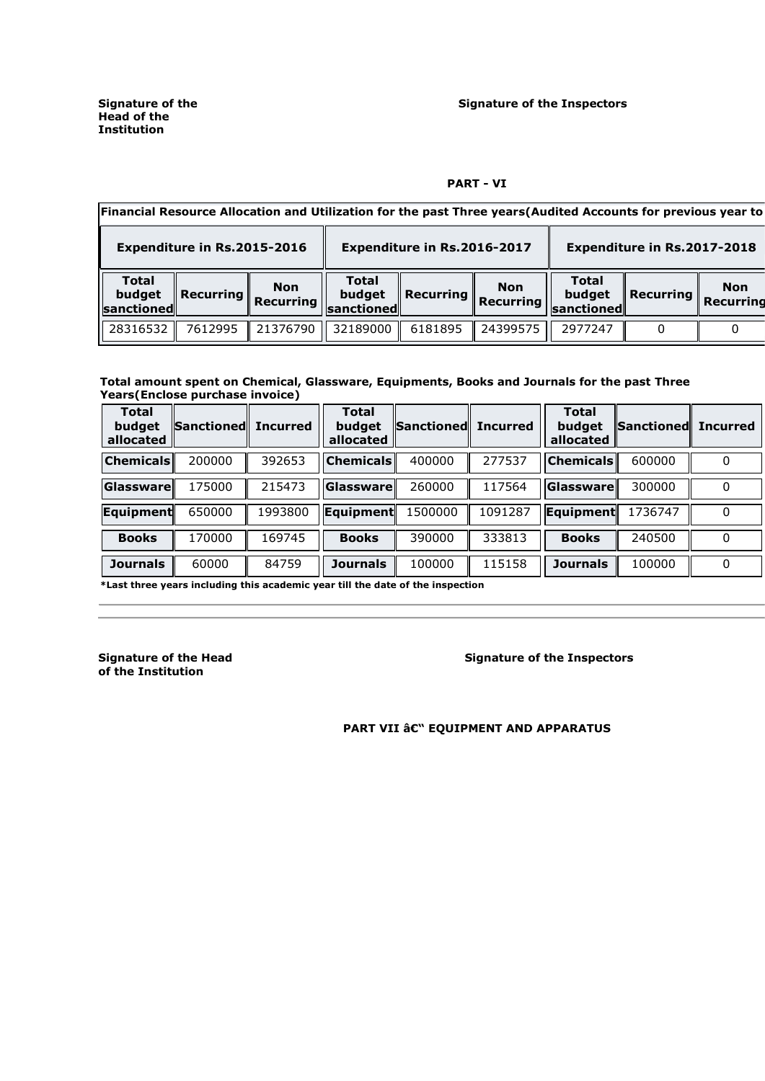#### **PART - VI**

| Financial Resource Allocation and Utilization for the past Three years(Audited Accounts for previous year to |                                             |                                             |                               |           |                         |  |  |  |  |  |
|--------------------------------------------------------------------------------------------------------------|---------------------------------------------|---------------------------------------------|-------------------------------|-----------|-------------------------|--|--|--|--|--|
| Expenditure in Rs.2015-2016                                                                                  | Expenditure in Rs.2016-2017                 | Expenditure in Rs.2017-2018                 |                               |           |                         |  |  |  |  |  |
| <b>Total</b><br><b>Non</b><br>budget<br><b>Recurring</b><br><b>Recurring</b><br><b>I</b> sanctionedl         | <b>Total</b><br>budget<br><b>sanctioned</b> | <b>Non</b><br><b>Recurring</b><br>Recurring | Total<br>budget<br>sanctioned | Recurring | <b>Non</b><br>Recurring |  |  |  |  |  |
| 21376790<br>28316532<br>7612995                                                                              | 32189000                                    | 24399575<br>6181895                         | 2977247                       |           |                         |  |  |  |  |  |

#### **Total amount spent on Chemical, Glassware, Equipments, Books and Journals for the past Three Years(Enclose purchase invoice)**

| <b>Total</b><br>budget<br>allocated | Sanctioned Incurred |         | <b>Total</b><br>budget<br>allocated | <b>Sanctioned</b> | <b>Incurred</b> | <b>Total</b><br>budget<br>allocated | Sanctioned Incurred |          |
|-------------------------------------|---------------------|---------|-------------------------------------|-------------------|-----------------|-------------------------------------|---------------------|----------|
| <b>Chemicals</b>                    | 200000              | 392653  | <b>Chemicals</b>                    | 400000            | 277537          | <b>Chemicals</b>                    | 600000              |          |
| Glassware                           | 175000              | 215473  | Glassware                           | 260000            | 117564          | Glassware                           | 300000              | $\Omega$ |
| Equipment                           | 650000              | 1993800 | Equipment                           | 1500000           | 1091287         | Equipment                           | 1736747             | 0        |
| <b>Books</b>                        | 170000              | 169745  | <b>Books</b>                        | 390000            | 333813          | <b>Books</b>                        | 240500              | 0        |
| <b>Journals</b>                     | 60000               | 84759   | <b>Journals</b>                     | 100000            | 115158          | <b>Journals</b>                     | 100000              | 0        |

**\*Last three years including this academic year till the date of the inspection** 

**Signature of the Head of the Institution** 

**Signature of the Inspectors** 

**PART VII â** $\varepsilon$ **" EQUIPMENT AND APPARATUS**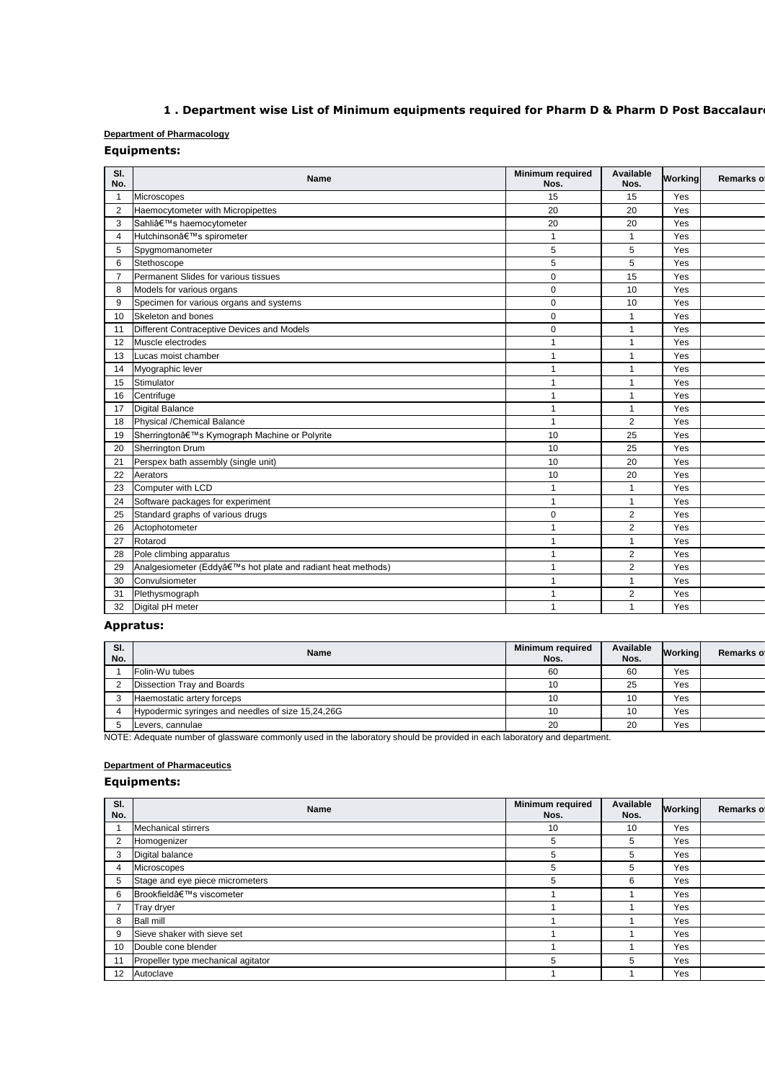# 1 . Department wise List of Minimum equipments required for Pharm D & Pharm D Post Baccalaur

## **Department of Pharmacology**

## **Equipments:**

| SI.<br>No.     | <b>Name</b>                                                | Minimum required<br>Nos. | Available<br>Nos. | Working | Remarks of |
|----------------|------------------------------------------------------------|--------------------------|-------------------|---------|------------|
|                | Microscopes                                                | 15                       | 15                | Yes     |            |
| $\overline{2}$ | Haemocytometer with Micropipettes                          | 20                       | 20                | Yes     |            |
| 3              | Sahli's haemocytometer                                     | 20                       | 20                | Yes     |            |
| $\overline{4}$ | Hutchinson's spirometer                                    | 1                        | $\mathbf{1}$      | Yes     |            |
| 5              | Spygmomanometer                                            | 5                        | 5                 | Yes     |            |
| 6              | Stethoscope                                                | 5                        | 5                 | Yes     |            |
| $\overline{7}$ | Permanent Slides for various tissues                       | $\mathbf 0$              | 15                | Yes     |            |
| 8              | Models for various organs                                  | $\mathbf 0$              | 10                | Yes     |            |
| 9              | Specimen for various organs and systems                    | 0                        | 10                | Yes     |            |
| 10             | Skeleton and bones                                         | 0                        | $\mathbf{1}$      | Yes     |            |
| 11             | Different Contraceptive Devices and Models                 | $\mathbf 0$              | $\mathbf{1}$      | Yes     |            |
| 12             | Muscle electrodes                                          | $\mathbf{1}$             | $\mathbf{1}$      | Yes     |            |
| 13             | Lucas moist chamber                                        | $\mathbf{1}$             | $\mathbf{1}$      | Yes     |            |
| 14             | Myographic lever                                           | 1                        | $\mathbf{1}$      | Yes     |            |
| 15             | Stimulator                                                 | 1                        | $\mathbf{1}$      | Yes     |            |
| 16             | Centrifuge                                                 | $\mathbf{1}$             | $\mathbf{1}$      | Yes     |            |
| 17             | <b>Digital Balance</b>                                     | $\mathbf{1}$             | $\mathbf{1}$      | Yes     |            |
| 18             | Physical /Chemical Balance                                 | $\mathbf{1}$             | 2                 | Yes     |            |
| 19             | Sherrington's Kymograph Machine or Polyrite                | 10                       | 25                | Yes     |            |
| 20             | <b>Sherrington Drum</b>                                    | 10                       | 25                | Yes     |            |
| 21             | Perspex bath assembly (single unit)                        | 10                       | 20                | Yes     |            |
| 22             | Aerators                                                   | 10                       | 20                | Yes     |            |
| 23             | Computer with LCD                                          | $\mathbf{1}$             | $\mathbf{1}$      | Yes     |            |
| 24             | Software packages for experiment                           | $\mathbf{1}$             | $\mathbf{1}$      | Yes     |            |
| 25             | Standard graphs of various drugs                           | $\mathbf 0$              | 2                 | Yes     |            |
| 26             | Actophotometer                                             | 1                        | 2                 | Yes     |            |
| 27             | Rotarod                                                    | $\mathbf{1}$             | $\mathbf{1}$      | Yes     |            |
| 28             | Pole climbing apparatus                                    | $\mathbf{1}$             | $\overline{2}$    | Yes     |            |
| 29             | Analgesiometer (Eddy's hot plate and radiant heat methods) | 1                        | 2                 | Yes     |            |
| 30             | Convulsiometer                                             | 1                        | $\mathbf{1}$      | Yes     |            |
| 31             | Plethysmograph                                             | 1                        | $\overline{2}$    | Yes     |            |
| 32             | Digital pH meter                                           | $\mathbf{1}$             | $\mathbf{1}$      | Yes     |            |

## **Appratus:**

| SI.<br>No. | <b>Name</b>                                       | <b>Minimum required</b><br>Nos. | Available<br>Nos. | Workinal | <b>Remarks of</b> |
|------------|---------------------------------------------------|---------------------------------|-------------------|----------|-------------------|
|            | Folin-Wu tubes                                    | 60                              | 60                | Yes      |                   |
|            | Dissection Tray and Boards                        | 10                              | 25                | Yes      |                   |
|            | Haemostatic artery forceps                        | 10                              | 10                | Yes      |                   |
|            | Hypodermic syringes and needles of size 15,24,26G | 10                              | 10                | Yes      |                   |
|            | Levers, cannulae                                  | 20                              | 20                | Yes      |                   |

NOTE: Adequate number of glassware commonly used in the laboratory should be provided in each laboratory and department.

## **Department of Pharmaceutics**

| SI.<br>No. | <b>Name</b>                        | <b>Minimum required</b><br>Nos. | Available<br>Nos. | <b>Working</b> | Remarks of |
|------------|------------------------------------|---------------------------------|-------------------|----------------|------------|
|            | <b>Mechanical stirrers</b>         | 10                              | 10                | Yes            |            |
| 2          | Homogenizer                        | 5                               | 5                 | Yes            |            |
| 3          | Digital balance                    | 5                               | 5                 | Yes            |            |
| 4          | Microscopes                        | 5                               | 5                 | Yes            |            |
| 5          | Stage and eye piece micrometers    | 5                               | 6                 | Yes            |            |
| 6          | Brookfield's viscometer            |                                 |                   | Yes            |            |
|            | Tray dryer                         |                                 |                   | Yes            |            |
| 8          | <b>Ball mill</b>                   |                                 |                   | Yes            |            |
| 9          | Sieve shaker with sieve set        |                                 |                   | Yes            |            |
| 10         | Double cone blender                |                                 |                   | Yes            |            |
| 11         | Propeller type mechanical agitator | 5                               | 5                 | Yes            |            |
| 12         | Autoclave                          |                                 |                   | Yes            |            |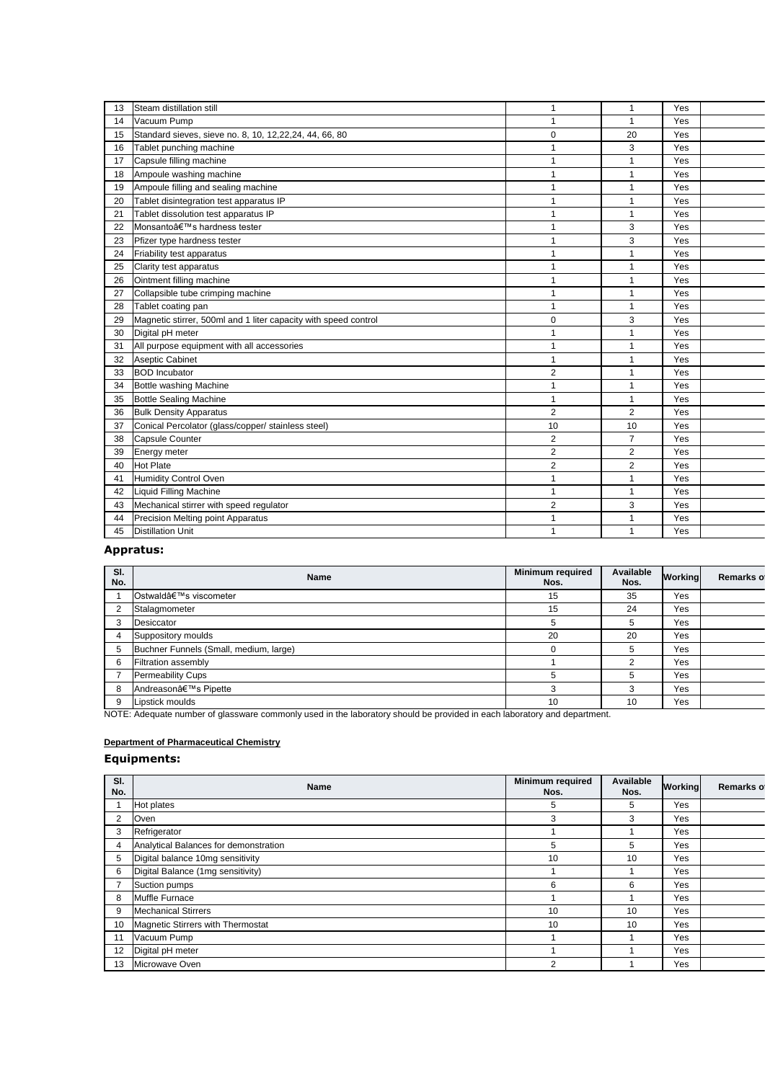| 13 | Steam distillation still                                        | 1              | $\mathbf{1}$   | Yes |  |
|----|-----------------------------------------------------------------|----------------|----------------|-----|--|
| 14 | Vacuum Pump                                                     | 1              | 1              | Yes |  |
| 15 | Standard sieves, sieve no. 8, 10, 12,22,24, 44, 66, 80          | 0              | 20             | Yes |  |
| 16 | Tablet punching machine                                         | 1              | 3              | Yes |  |
| 17 | Capsule filling machine                                         | 1              | 1              | Yes |  |
| 18 | Ampoule washing machine                                         | 1              | 1              | Yes |  |
| 19 | Ampoule filling and sealing machine                             | 1              | 1              | Yes |  |
| 20 | Tablet disintegration test apparatus IP                         | 1              | 1              | Yes |  |
| 21 | Tablet dissolution test apparatus IP                            | 1              | 1              | Yes |  |
| 22 | Monsanto's hardness tester                                      | 1              | 3              | Yes |  |
| 23 | Pfizer type hardness tester                                     | 1              | 3              | Yes |  |
| 24 | Friability test apparatus                                       | 1              | 1              | Yes |  |
| 25 | Clarity test apparatus                                          | 1              | 1              | Yes |  |
| 26 | Ointment filling machine                                        | 1              | $\mathbf{1}$   | Yes |  |
| 27 | Collapsible tube crimping machine                               | 1              | 1              | Yes |  |
| 28 | Tablet coating pan                                              | 1              | $\mathbf{1}$   | Yes |  |
| 29 | Magnetic stirrer, 500ml and 1 liter capacity with speed control | 0              | 3              | Yes |  |
| 30 | Digital pH meter                                                | 1              | 1              | Yes |  |
| 31 | All purpose equipment with all accessories                      | 1              | 1              | Yes |  |
| 32 | Aseptic Cabinet                                                 | 1              | 1              | Yes |  |
| 33 | <b>BOD Incubator</b>                                            | 2              | 1              | Yes |  |
| 34 | Bottle washing Machine                                          | 1              | 1              | Yes |  |
| 35 | <b>Bottle Sealing Machine</b>                                   | 1              | $\mathbf{1}$   | Yes |  |
| 36 | <b>Bulk Density Apparatus</b>                                   | $\overline{2}$ | 2              | Yes |  |
| 37 | Conical Percolator (glass/copper/ stainless steel)              | 10             | 10             | Yes |  |
| 38 | Capsule Counter                                                 | $\overline{2}$ | $\overline{7}$ | Yes |  |
| 39 | Energy meter                                                    | $\overline{2}$ | 2              | Yes |  |
| 40 | <b>Hot Plate</b>                                                | $\overline{c}$ | $\overline{2}$ | Yes |  |
| 41 | Humidity Control Oven                                           | 1              | 1              | Yes |  |
| 42 | Liquid Filling Machine                                          | 1              | 1              | Yes |  |
| 43 | Mechanical stirrer with speed regulator                         | 2              | 3              | Yes |  |
| 44 | Precision Melting point Apparatus                               | 1              | 1              | Yes |  |
| 45 | <b>Distillation Unit</b>                                        | 1              | $\mathbf{1}$   | Yes |  |
|    |                                                                 |                |                |     |  |

## **Appratus:**

| SI.<br>No. | Name                                   | <b>Minimum required</b><br>Nos. | Available<br>Nos. | <b>Working</b> | Remarks of |
|------------|----------------------------------------|---------------------------------|-------------------|----------------|------------|
|            | Ostwald's viscometer                   | 15                              | 35                | Yes            |            |
| 2          | Stalagmometer                          | 15                              | 24                | Yes            |            |
| 3          | Desiccator                             | 5                               | 5                 | Yes            |            |
|            | Suppository moulds                     | 20                              | 20                | Yes            |            |
| 5          | Buchner Funnels (Small, medium, large) | O                               | 5                 | Yes            |            |
| 6          | Filtration assembly                    |                                 |                   | Yes            |            |
|            | Permeability Cups                      | .h                              | 5                 | Yes            |            |
| 8          | Andreason's Pipette                    | 3                               | 3                 | Yes            |            |
| 9          | Lipstick moulds                        | 10                              | 10                | Yes            |            |

NOTE: Adequate number of glassware commonly used in the laboratory should be provided in each laboratory and department.

## **Department of Pharmaceutical Chemistry**

| SI.<br>No.     | Name                                  | <b>Minimum required</b><br>Nos. | Available<br>Nos. | <b>Working</b> | Remarks of |
|----------------|---------------------------------------|---------------------------------|-------------------|----------------|------------|
|                | Hot plates                            | 5                               | 5                 | Yes            |            |
| $\overline{2}$ | Oven                                  | 3                               | 3                 | Yes            |            |
| 3              | Refrigerator                          |                                 |                   | Yes            |            |
| 4              | Analytical Balances for demonstration | 5                               | 5                 | Yes            |            |
| 5              | Digital balance 10mg sensitivity      | 10                              | 10                | Yes            |            |
| 6              | Digital Balance (1mg sensitivity)     |                                 |                   | Yes            |            |
|                | Suction pumps                         | 6                               | 6                 | Yes            |            |
| 8              | Muffle Furnace                        |                                 |                   | Yes            |            |
| 9              | <b>Mechanical Stirrers</b>            | 10                              | 10                | Yes            |            |
| 10             | Magnetic Stirrers with Thermostat     | 10                              | 10                | Yes            |            |
|                | Vacuum Pump                           |                                 |                   | Yes            |            |
| 12             | Digital pH meter                      |                                 |                   | Yes            |            |
| 13             | Microwave Oven                        | 2                               |                   | Yes            |            |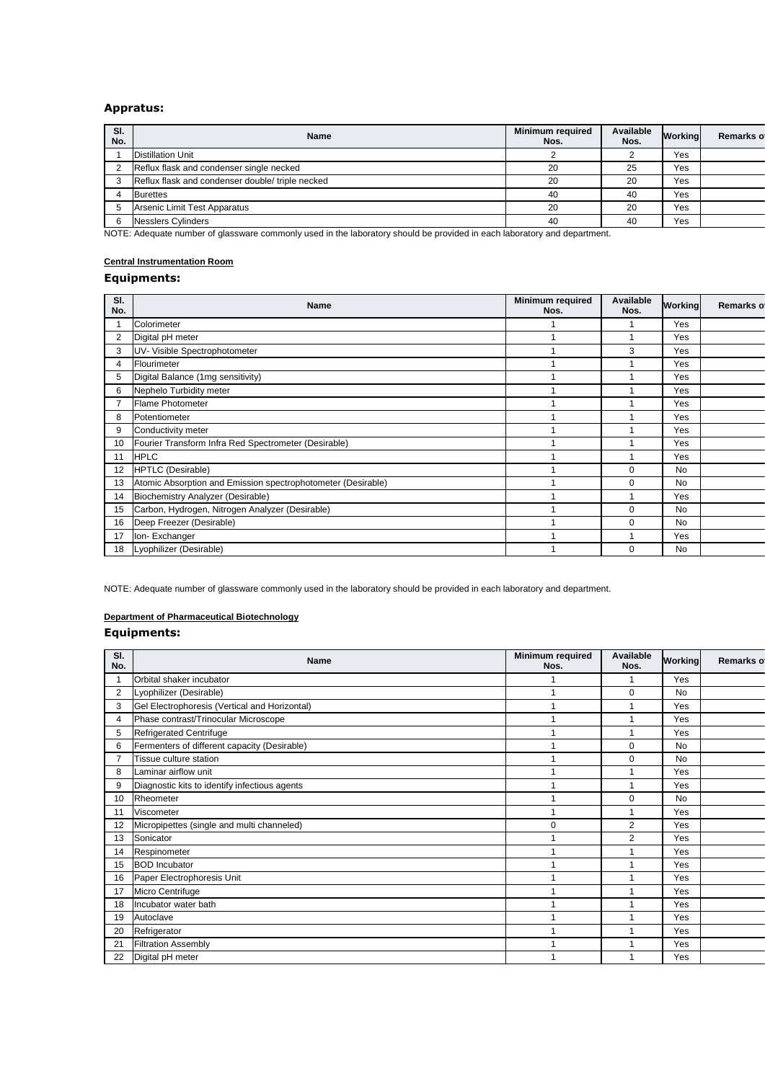## **Appratus:**

| SI.<br>No. | <b>Name</b>                                      | <b>Minimum required</b><br>Nos. | Available<br>Nos. | Working | Remarks of |
|------------|--------------------------------------------------|---------------------------------|-------------------|---------|------------|
|            | <b>Distillation Unit</b>                         |                                 |                   | Yes     |            |
|            | Reflux flask and condenser single necked         | 20                              | 25                | Yes     |            |
|            | Reflux flask and condenser double/ triple necked | 20                              | 20                | Yes     |            |
|            | <b>Burettes</b>                                  | 40                              | 40                | Yes     |            |
|            | Arsenic Limit Test Apparatus                     | 20                              | 20                | Yes     |            |
|            | <b>Nesslers Cylinders</b>                        | 40                              | 40                | Yes     |            |

NOTE: Adequate number of glassware commonly used in the laboratory should be provided in each laboratory and department.

## **Central Instrumentation Room**

## **Equipments:**

| SI.<br>No.     | <b>Name</b>                                                  | <b>Minimum required</b><br>Nos. | Available<br>Nos. | Working   | Remarks of |
|----------------|--------------------------------------------------------------|---------------------------------|-------------------|-----------|------------|
|                | Colorimeter                                                  |                                 |                   | Yes       |            |
| $\overline{2}$ | Digital pH meter                                             |                                 |                   | Yes       |            |
| 3              | UV- Visible Spectrophotometer                                |                                 | 3                 | Yes       |            |
| 4              | Flourimeter                                                  |                                 |                   | Yes       |            |
| 5              | Digital Balance (1mg sensitivity)                            |                                 |                   | Yes       |            |
| 6              | Nephelo Turbidity meter                                      |                                 |                   | Yes       |            |
|                | <b>Flame Photometer</b>                                      |                                 |                   | Yes       |            |
| 8              | Potentiometer                                                |                                 |                   | Yes       |            |
| 9              | Conductivity meter                                           |                                 |                   | Yes       |            |
| 10             | Fourier Transform Infra Red Spectrometer (Desirable)         |                                 |                   | Yes       |            |
| 11             | <b>HPLC</b>                                                  |                                 |                   | Yes       |            |
| 12             | <b>HPTLC</b> (Desirable)                                     |                                 | 0                 | No        |            |
| 13             | Atomic Absorption and Emission spectrophotometer (Desirable) |                                 | $\Omega$          | <b>No</b> |            |
| 14             | Biochemistry Analyzer (Desirable)                            |                                 |                   | Yes       |            |
| 15             | Carbon, Hydrogen, Nitrogen Analyzer (Desirable)              |                                 | $\Omega$          | <b>No</b> |            |
| 16             | Deep Freezer (Desirable)                                     |                                 | 0                 | <b>No</b> |            |
| 17             | Ion-Exchanger                                                |                                 |                   | Yes       |            |
| 18             | Lyophilizer (Desirable)                                      |                                 | $\Omega$          | <b>No</b> |            |

NOTE: Adequate number of glassware commonly used in the laboratory should be provided in each laboratory and department.

## **Department of Pharmaceutical Biotechnology**

| SI.<br>No.               | Name                                          | Minimum required<br>Nos. | Available<br>Nos. | Working   | Remarks of |
|--------------------------|-----------------------------------------------|--------------------------|-------------------|-----------|------------|
| $\overline{\phantom{a}}$ | Orbital shaker incubator                      |                          |                   | Yes       |            |
| $\overline{2}$           | Lyophilizer (Desirable)                       | 1                        | $\mathbf 0$       | <b>No</b> |            |
| 3                        | Gel Electrophoresis (Vertical and Horizontal) |                          |                   | Yes       |            |
| 4                        | Phase contrast/Trinocular Microscope          | 4                        |                   | Yes       |            |
| 5                        | <b>Refrigerated Centrifuge</b>                |                          |                   | Yes       |            |
| 6                        | Fermenters of different capacity (Desirable)  | $\overline{\mathbf{A}}$  | 0                 | <b>No</b> |            |
| 7                        | <b>Tissue culture station</b>                 | ٠                        | 0                 | No        |            |
| 8                        | Laminar airflow unit                          |                          |                   | Yes       |            |
| 9                        | Diagnostic kits to identify infectious agents | 4                        |                   | Yes       |            |
| 10                       | Rheometer                                     | 1                        | 0                 | <b>No</b> |            |
| 11                       | Viscometer                                    | 1                        |                   | Yes       |            |
| 12                       | Micropipettes (single and multi channeled)    | 0                        | $\overline{2}$    | Yes       |            |
| 13                       | Sonicator                                     | 1                        | $\overline{2}$    | Yes       |            |
| 14                       | Respinometer                                  | ٠                        |                   | Yes       |            |
| 15                       | <b>BOD</b> Incubator                          |                          |                   | Yes       |            |
| 16                       | Paper Electrophoresis Unit                    | $\overline{ }$           |                   | Yes       |            |
| 17                       | Micro Centrifuge                              | 1                        |                   | Yes       |            |
| 18                       | Incubator water bath                          |                          |                   | Yes       |            |
| 19                       | Autoclave                                     | 1                        |                   | Yes       |            |
| 20                       | Refrigerator                                  | 4                        |                   | Yes       |            |
| 21                       | <b>Filtration Assembly</b>                    |                          |                   | Yes       |            |
| 22                       | Digital pH meter                              |                          |                   | Yes       |            |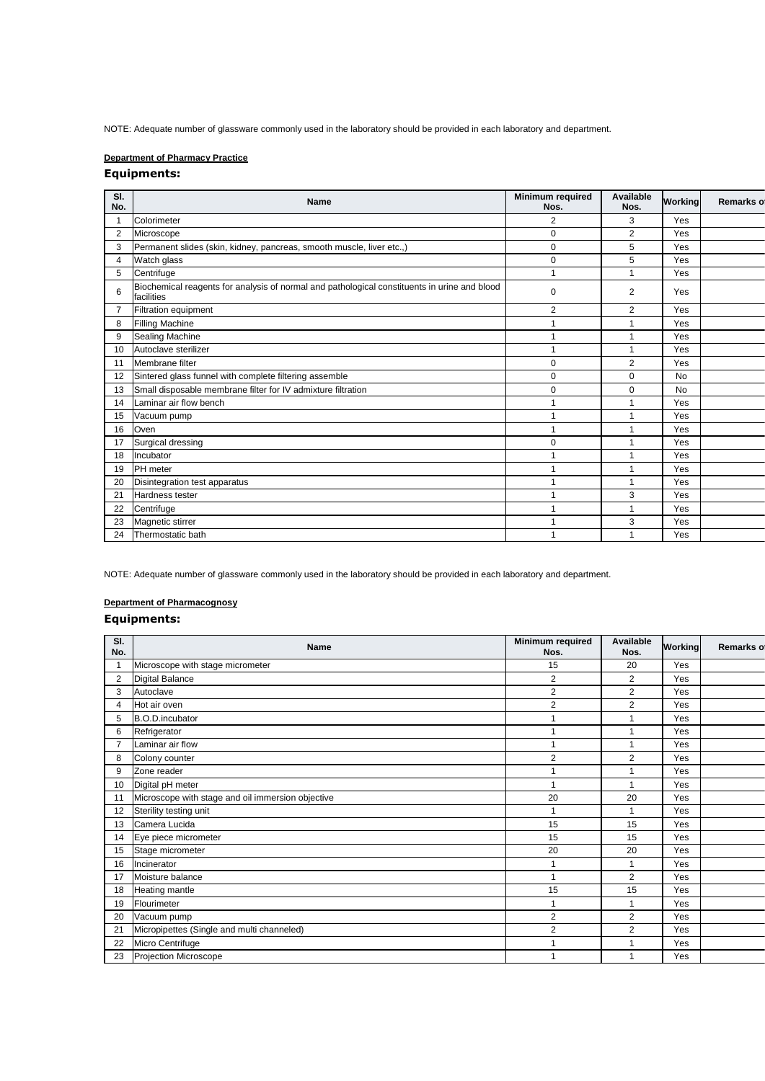NOTE: Adequate number of glassware commonly used in the laboratory should be provided in each laboratory and department.

## **Department of Pharmacy Practice**

## **Equipments:**

| SI.<br>No.     | <b>Name</b>                                                                                                | Minimum required<br>Nos. | Available<br>Nos. | Working   | <b>Remarks of</b> |
|----------------|------------------------------------------------------------------------------------------------------------|--------------------------|-------------------|-----------|-------------------|
| 1              | Colorimeter                                                                                                | 2                        | 3                 | Yes       |                   |
| $\overline{2}$ | Microscope                                                                                                 | 0                        | 2                 | Yes       |                   |
| 3              | Permanent slides (skin, kidney, pancreas, smooth muscle, liver etc.,)                                      | 0                        | 5                 | Yes       |                   |
| $\overline{4}$ | Watch glass                                                                                                | 0                        | 5                 | Yes       |                   |
| 5              | Centrifuge                                                                                                 | 1                        | $\mathbf{1}$      | Yes       |                   |
| 6              | Biochemical reagents for analysis of normal and pathological constituents in urine and blood<br>facilities | 0                        | 2                 | Yes       |                   |
| 7              | Filtration equipment                                                                                       | 2                        | 2                 | Yes       |                   |
| 8              | <b>Filling Machine</b>                                                                                     | 1                        | $\mathbf{1}$      | Yes       |                   |
| 9              | <b>Sealing Machine</b>                                                                                     | 1                        | $\mathbf{1}$      | Yes       |                   |
| 10             | Autoclave sterilizer                                                                                       | 1                        | $\mathbf{1}$      | Yes       |                   |
| 11             | Membrane filter                                                                                            | 0                        | 2                 | Yes       |                   |
| 12             | Sintered glass funnel with complete filtering assemble                                                     | 0                        | $\mathbf 0$       | <b>No</b> |                   |
| 13             | Small disposable membrane filter for IV admixture filtration                                               | 0                        | $\mathbf 0$       | <b>No</b> |                   |
| 14             | Laminar air flow bench                                                                                     |                          | $\mathbf{1}$      | Yes       |                   |
| 15             | Vacuum pump                                                                                                | 1                        | $\mathbf{1}$      | Yes       |                   |
| 16             | Oven                                                                                                       | 1                        | $\mathbf{1}$      | Yes       |                   |
| 17             | Surgical dressing                                                                                          | 0                        |                   | Yes       |                   |
| 18             | Incubator                                                                                                  | 1                        | $\mathbf{1}$      | Yes       |                   |
| 19             | <b>PH</b> meter                                                                                            | 1                        | $\mathbf{1}$      | Yes       |                   |
| 20             | Disintegration test apparatus                                                                              | 1                        | $\mathbf{1}$      | Yes       |                   |
| 21             | Hardness tester                                                                                            | 1                        | 3                 | Yes       |                   |
| 22             | Centrifuge                                                                                                 | 1                        | $\mathbf{1}$      | Yes       |                   |
| 23             | Magnetic stirrer                                                                                           | 1                        | 3                 | Yes       |                   |
| 24             | Thermostatic bath                                                                                          |                          |                   | Yes       |                   |
|                |                                                                                                            |                          |                   |           |                   |

NOTE: Adequate number of glassware commonly used in the laboratory should be provided in each laboratory and department.

## **Department of Pharmacognosy**

| SI.<br>No.     | <b>Name</b>                                       | <b>Minimum required</b><br>Nos. | Available<br>Nos. | Working | Remarks of |
|----------------|---------------------------------------------------|---------------------------------|-------------------|---------|------------|
| $\overline{1}$ | Microscope with stage micrometer                  | 15                              | 20                | Yes     |            |
| $\overline{2}$ | <b>Digital Balance</b>                            | $\overline{\mathbf{c}}$         | $\overline{2}$    | Yes     |            |
| 3              | Autoclave                                         | 2                               | $\overline{2}$    | Yes     |            |
| 4              | Hot air oven                                      | $\overline{\mathbf{c}}$         | $\overline{2}$    | Yes     |            |
| 5              | <b>B.O.D.incubator</b>                            | 1                               |                   | Yes     |            |
| 6              | Refrigerator                                      | 1                               | $\overline{ }$    | Yes     |            |
| $\overline{7}$ | Laminar air flow                                  | 1                               | $\overline{ }$    | Yes     |            |
| 8              | Colony counter                                    | 2                               | 2                 | Yes     |            |
| 9              | Zone reader                                       | 1                               |                   | Yes     |            |
| 10             | Digital pH meter                                  | 1                               |                   | Yes     |            |
| 11             | Microscope with stage and oil immersion objective | 20                              | 20                | Yes     |            |
| 12             | Sterility testing unit                            | 1                               | 1                 | Yes     |            |
| 13             | Camera Lucida                                     | 15                              | 15                | Yes     |            |
| 14             | Eye piece micrometer                              | 15                              | 15                | Yes     |            |
| 15             | Stage micrometer                                  | 20                              | 20                | Yes     |            |
| 16             | Incinerator                                       | $\mathbf{1}$                    | 1                 | Yes     |            |
| 17             | Moisture balance                                  | 1                               | $\overline{2}$    | Yes     |            |
| 18             | Heating mantle                                    | 15                              | 15                | Yes     |            |
| 19             | Flourimeter                                       | 1                               |                   | Yes     |            |
| 20             | Vacuum pump                                       | 2                               | $\overline{2}$    | Yes     |            |
| 21             | Micropipettes (Single and multi channeled)        | $\overline{2}$                  | 2                 | Yes     |            |
| 22             | Micro Centrifuge                                  | 1                               |                   | Yes     |            |
| 23             | Projection Microscope                             | 4                               |                   | Yes     |            |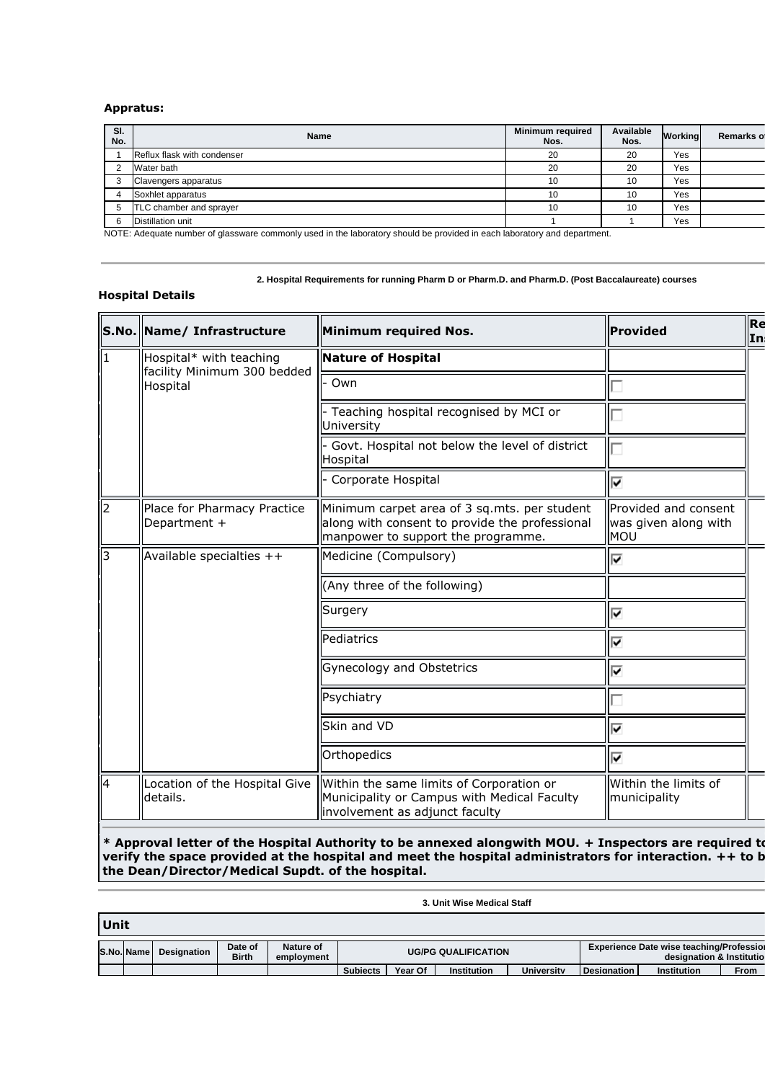#### **Appratus:**

| SI.<br>No. | <b>Name</b>                 | <b>Minimum required</b><br>Nos. | Available<br>Nos. | Working | Remarks of |
|------------|-----------------------------|---------------------------------|-------------------|---------|------------|
|            | Reflux flask with condenser | 20                              | 20                | Yes     |            |
|            | Water bath                  | 20                              | 20                | Yes     |            |
|            | Clavengers apparatus        | 10                              | 10                | Yes     |            |
|            | Soxhlet apparatus           | 10                              | 10                | Yes     |            |
| 5          | TLC chamber and sprayer     | 10                              | 10                | Yes     |            |
|            | <b>Distillation unit</b>    |                                 |                   | Yes     |            |
|            | $\cdots$<br>.<br>.<br>.     | .                               |                   |         |            |

NOTE: Adequate number of glassware commonly used in the laboratory should be provided in each laboratory and department.

#### **2. Hospital Requirements for running Pharm D or Pharm.D. and Pharm.D. (Post Baccalaureate) courses**

#### **Hospital Details**

 $\overline{\phantom{a}}$ 

|     | S.No. Name/ Infrastructure                             | Minimum required Nos.                                                                                                                | Provided                                            | Re<br>In |
|-----|--------------------------------------------------------|--------------------------------------------------------------------------------------------------------------------------------------|-----------------------------------------------------|----------|
| 11  | Hospital* with teaching<br>facility Minimum 300 bedded | <b>Nature of Hospital</b>                                                                                                            |                                                     |          |
|     | Hospital                                               | Own                                                                                                                                  |                                                     |          |
|     |                                                        | - Teaching hospital recognised by MCI or<br>University                                                                               |                                                     |          |
|     |                                                        | Govt. Hospital not below the level of district<br>Hospital                                                                           |                                                     |          |
|     |                                                        | Corporate Hospital                                                                                                                   | ⊽                                                   |          |
| 12  | Place for Pharmacy Practice<br>Department +            | Minimum carpet area of 3 sq.mts. per student<br>along with consent to provide the professional<br>manpower to support the programme. | Provided and consent<br>was given along with<br>MOU |          |
| ll3 | Available specialties $++$                             | Medicine (Compulsory)                                                                                                                | ⊽                                                   |          |
|     |                                                        | (Any three of the following)                                                                                                         |                                                     |          |
|     |                                                        | Surgery                                                                                                                              | ⊽                                                   |          |
|     |                                                        | Pediatrics                                                                                                                           | ⊽                                                   |          |
|     |                                                        | Gynecology and Obstetrics                                                                                                            | ⊽                                                   |          |
|     |                                                        | Psychiatry                                                                                                                           |                                                     |          |
|     |                                                        | Skin and VD                                                                                                                          | ⊽                                                   |          |
|     |                                                        | Orthopedics                                                                                                                          | ⊽                                                   |          |
| 14  | Location of the Hospital Give<br>details.              | Within the same limits of Corporation or<br>Municipality or Campus with Medical Faculty<br>involvement as adjunct faculty            | Within the limits of<br>municipality                |          |

**\* Approval letter of the Hospital Authority to be annexed alongwith MOU. + Inspectors are required to personally verify the space provided at the hospital and meet the hospital administrators for interaction. ++ to b the Dean/Director/Medical Supdt. of the hospital.** 

#### **3. Unit Wise Medical Staff**

| Unit |            |                    |                         |                         |                            |         |                    |                   |                    |                                                                             |             |
|------|------------|--------------------|-------------------------|-------------------------|----------------------------|---------|--------------------|-------------------|--------------------|-----------------------------------------------------------------------------|-------------|
|      | S.No. Name | <b>Designation</b> | Date of<br><b>Birth</b> | Nature of<br>employment | <b>UG/PG QUALIFICATION</b> |         |                    |                   |                    | <b>Experience Date wise teaching/Profession</b><br>designation & Institutio |             |
|      |            |                    |                         |                         | <b>Subjects</b>            | Year Of | <b>Institution</b> | <b>University</b> | <b>Designation</b> | <b>Institution</b>                                                          | <b>From</b> |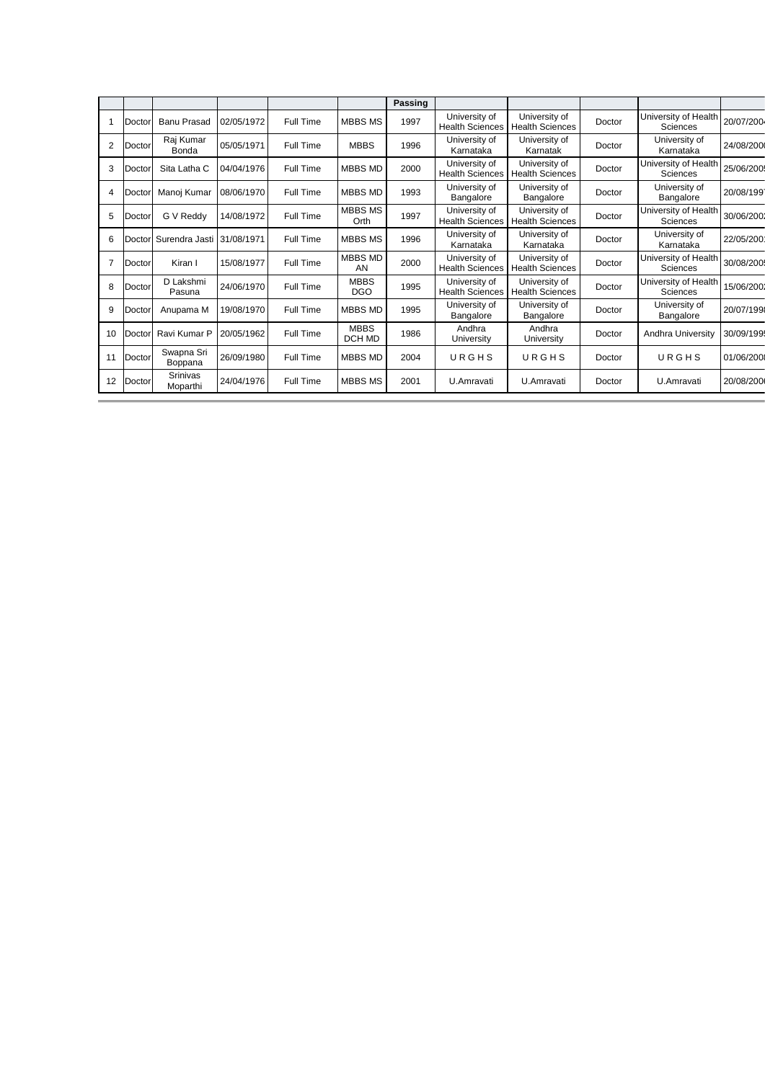|                |        |                       |            |                  |                           | Passing |                                         |                                         |        |                                         |            |
|----------------|--------|-----------------------|------------|------------------|---------------------------|---------|-----------------------------------------|-----------------------------------------|--------|-----------------------------------------|------------|
|                | Doctor | <b>Banu Prasad</b>    | 02/05/1972 | Full Time        | <b>MBBS MS</b>            | 1997    | University of<br><b>Health Sciences</b> | University of<br><b>Health Sciences</b> | Doctor | University of Health<br>Sciences        | 20/07/200  |
| 2              | Doctor | Raj Kumar<br>Bonda    | 05/05/1971 | Full Time        | <b>MBBS</b>               | 1996    | University of<br>Karnataka              | University of<br>Karnatak               | Doctor | University of<br>Karnataka              | 24/08/200  |
| 3              | Doctor | Sita Latha C          | 04/04/1976 | Full Time        | <b>MBBS MD</b>            | 2000    | University of<br><b>Health Sciences</b> | University of<br><b>Health Sciences</b> | Doctor | University of Health<br>Sciences        | 25/06/200  |
| $\overline{4}$ | Doctor | Manoj Kumar           | 08/06/1970 | Full Time        | <b>MBBS MD</b>            | 1993    | University of<br>Bangalore              | University of<br>Bangalore              | Doctor | University of<br>Bangalore              | 20/08/1991 |
| 5              | Doctor | G V Reddy             | 14/08/1972 | Full Time        | <b>MBBS MS</b><br>Orth    | 1997    | University of<br><b>Health Sciences</b> | University of<br><b>Health Sciences</b> | Doctor | University of Health<br><b>Sciences</b> | 30/06/2001 |
| 6              | Doctor | Surendra Jasti        | 31/08/1971 | Full Time        | <b>MBBS MS</b>            | 1996    | University of<br>Karnataka              | University of<br>Karnataka              | Doctor | University of<br>Karnataka              | 22/05/200  |
| $\overline{7}$ | Doctor | Kiran I               | 15/08/1977 | Full Time        | MBBS MD<br>AN             | 2000    | University of<br><b>Health Sciences</b> | University of<br><b>Health Sciences</b> | Doctor | University of Health<br>Sciences        | 30/08/200  |
| 8              | Doctor | D Lakshmi<br>Pasuna   | 24/06/1970 | Full Time        | <b>MBBS</b><br><b>DGO</b> | 1995    | University of<br><b>Health Sciences</b> | University of<br><b>Health Sciences</b> | Doctor | University of Health<br>Sciences        | 15/06/2002 |
| 9              | Doctor | Anupama M             | 19/08/1970 | Full Time        | <b>MBBS MD</b>            | 1995    | University of<br>Bangalore              | University of<br>Bangalore              | Doctor | University of<br>Bangalore              | 20/07/199  |
| 10             | Doctor | Ravi Kumar P          | 20/05/1962 | Full Time        | <b>MBBS</b><br>DCH MD     | 1986    | Andhra<br>University                    | Andhra<br>University                    | Doctor | Andhra University                       | 30/09/199  |
| 11             | Doctor | Swapna Sri<br>Boppana | 26/09/1980 | Full Time        | <b>MBBS MD</b>            | 2004    | URGHS                                   | URGHS                                   | Doctor | URGHS                                   | 01/06/200  |
| 12             | Doctor | Srinivas<br>Moparthi  | 24/04/1976 | <b>Full Time</b> | <b>MBBS MS</b>            | 2001    | U.Amravati                              | U.Amravati                              | Doctor | U.Amravati                              | 20/08/200  |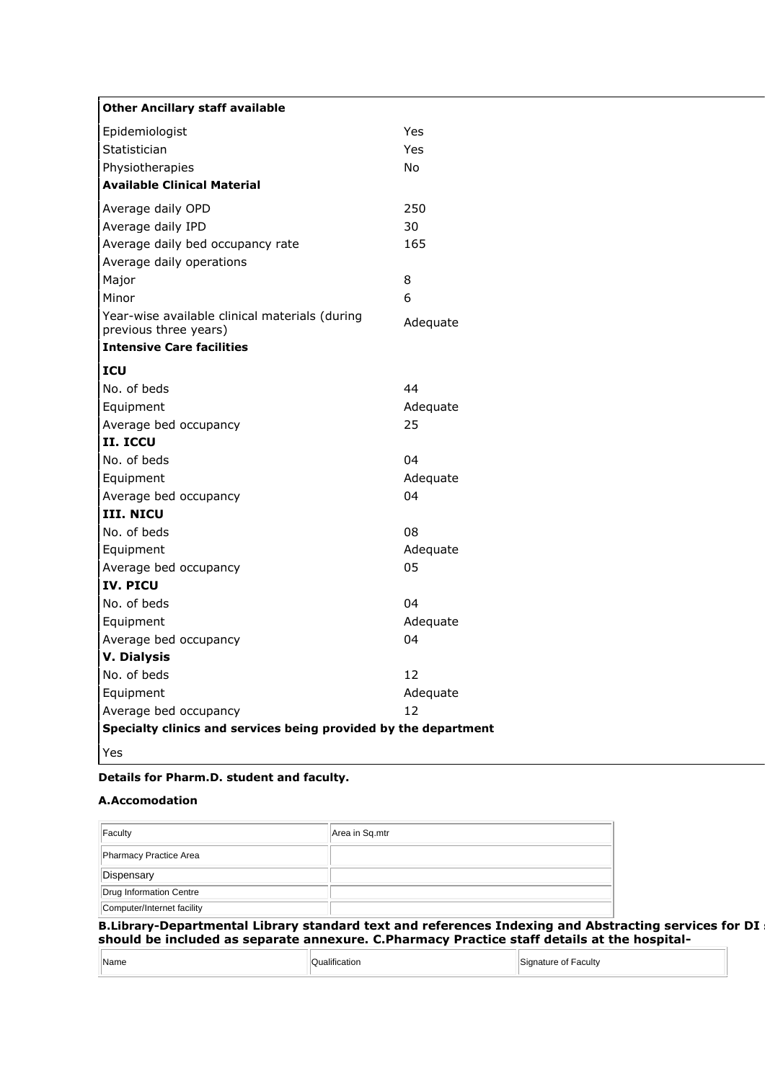| <b>Other Ancillary staff available</b>                                  |          |
|-------------------------------------------------------------------------|----------|
| Epidemiologist                                                          | Yes      |
| Statistician                                                            | Yes      |
| Physiotherapies                                                         | No       |
| <b>Available Clinical Material</b>                                      |          |
| Average daily OPD                                                       | 250      |
| Average daily IPD                                                       | 30       |
| Average daily bed occupancy rate                                        | 165      |
| Average daily operations                                                |          |
| Major                                                                   | 8        |
| Minor                                                                   | 6        |
| Year-wise available clinical materials (during<br>previous three years) | Adequate |
| <b>Intensive Care facilities</b>                                        |          |
| ICU                                                                     |          |
| No. of beds                                                             | 44       |
| Equipment                                                               | Adequate |
| Average bed occupancy                                                   | 25       |
| II. ICCU                                                                |          |
| No. of beds                                                             | 04       |
| Equipment                                                               | Adequate |
| Average bed occupancy                                                   | 04       |
| <b>III. NICU</b>                                                        |          |
| No. of beds                                                             | 08       |
| Equipment                                                               | Adequate |
| Average bed occupancy                                                   | 05       |
| IV. PICU                                                                |          |
| No. of beds                                                             | 04       |
| Equipment                                                               | Adequate |
| Average bed occupancy                                                   | 04       |
| <b>V. Dialysis</b>                                                      |          |
| No. of beds                                                             | 12       |
| Equipment                                                               | Adequate |
| Average bed occupancy                                                   | 12       |
| Specialty clinics and services being provided by the department         |          |
| Yes                                                                     |          |

## **Details for Pharm.D. student and faculty.**

## **A.Accomodation**

| B Library-Denartmental Library standard text and references Indexing and Abstr |
|--------------------------------------------------------------------------------|

**B.Library-Departmental Library standard text and references Indexing and Abstracting services for DI services should be included as separate annexure. C.Pharmacy Practice staff details at the hospital-**

| Name | $\cdots$<br>Qualification | Signature of Faculty<br>$\sim$<br>. |
|------|---------------------------|-------------------------------------|
|------|---------------------------|-------------------------------------|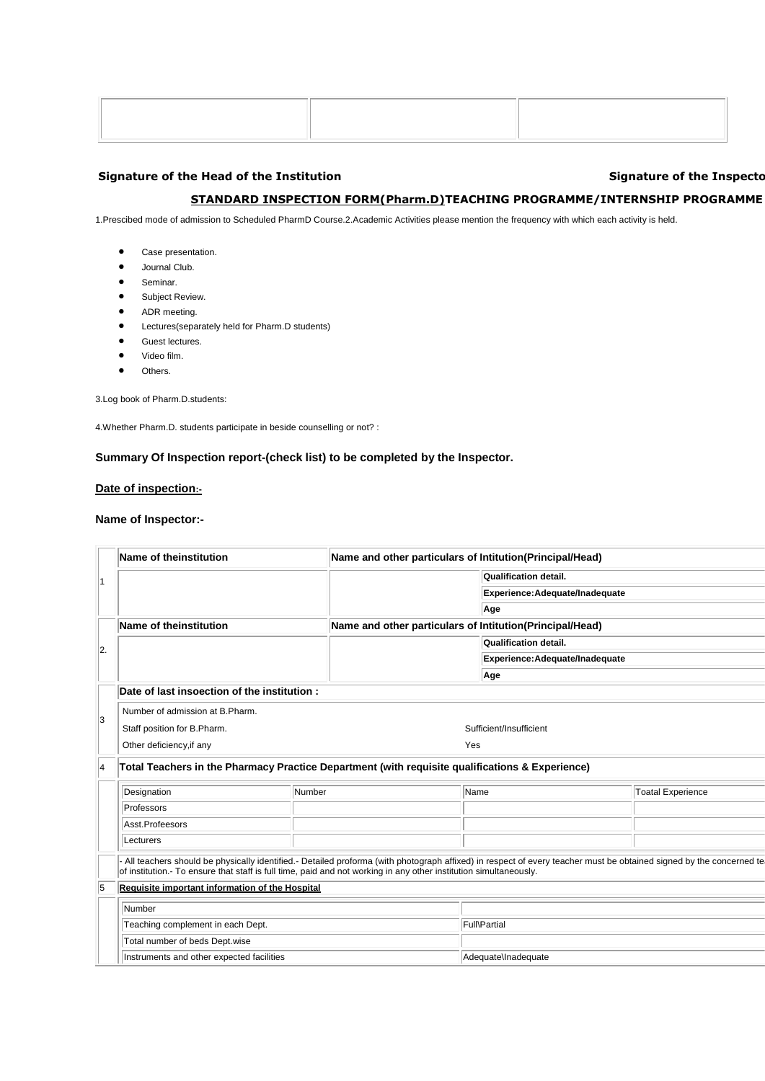## Signature of the Head of the Institution **Signature of the Inspectors** Signature of the Inspectors **Signature of the Inspectors**

## **STANDARD INSPECTION FORM(Pharm.D)TEACHING PROGRAMME/INTERNSHIP PROGRAMME**

1.Prescibed mode of admission to Scheduled PharmD Course.2.Academic Activities please mention the frequency with which each activity is held.

- Case presentation.
- Journal Club.
- **•** Seminar.
- **•** Subject Review.
- ADR meeting.
- Lectures(separately held for Pharm.D students)
- Guest lectures.
- Video film.
- $\bullet$  Others.

3.Log book of Pharm.D.students:

4.Whether Pharm.D. students participate in beside counselling or not? :

#### **Summary Of Inspection report-(check list) to be completed by the Inspector.**

## **Date of inspection:-**

#### **Name of Inspector:-**

|    | Name of theinstitution                                                                                                                                                                                                                                                                  | Name and other particulars of Intitution(Principal/Head) |                                                          |                          |  |  |  |  |
|----|-----------------------------------------------------------------------------------------------------------------------------------------------------------------------------------------------------------------------------------------------------------------------------------------|----------------------------------------------------------|----------------------------------------------------------|--------------------------|--|--|--|--|
|    |                                                                                                                                                                                                                                                                                         | Qualification detail.                                    |                                                          |                          |  |  |  |  |
|    |                                                                                                                                                                                                                                                                                         |                                                          | Experience: Adequate/Inadequate                          |                          |  |  |  |  |
|    |                                                                                                                                                                                                                                                                                         |                                                          | Age                                                      |                          |  |  |  |  |
|    | Name of theinstitution                                                                                                                                                                                                                                                                  |                                                          | Name and other particulars of Intitution(Principal/Head) |                          |  |  |  |  |
|    |                                                                                                                                                                                                                                                                                         |                                                          | Qualification detail.                                    |                          |  |  |  |  |
| 2. |                                                                                                                                                                                                                                                                                         |                                                          | Experience: Adequate/Inadequate                          |                          |  |  |  |  |
|    |                                                                                                                                                                                                                                                                                         |                                                          | Age                                                      |                          |  |  |  |  |
|    | Date of last insoection of the institution :                                                                                                                                                                                                                                            |                                                          |                                                          |                          |  |  |  |  |
| 13 | Number of admission at B.Pharm.                                                                                                                                                                                                                                                         |                                                          |                                                          |                          |  |  |  |  |
|    | Staff position for B.Pharm.                                                                                                                                                                                                                                                             |                                                          | Sufficient/Insufficient                                  |                          |  |  |  |  |
|    | Other deficiency, if any                                                                                                                                                                                                                                                                |                                                          | Yes                                                      |                          |  |  |  |  |
| 4  | Total Teachers in the Pharmacy Practice Department (with requisite qualifications & Experience)                                                                                                                                                                                         |                                                          |                                                          |                          |  |  |  |  |
|    | Designation<br>Number                                                                                                                                                                                                                                                                   |                                                          | Name                                                     | <b>Toatal Experience</b> |  |  |  |  |
|    | Professors                                                                                                                                                                                                                                                                              |                                                          |                                                          |                          |  |  |  |  |
|    | Asst.Profeesors                                                                                                                                                                                                                                                                         |                                                          |                                                          |                          |  |  |  |  |
|    | Lecturers                                                                                                                                                                                                                                                                               |                                                          |                                                          |                          |  |  |  |  |
|    | All teachers should be physically identified.- Detailed proforma (with photograph affixed) in respect of every teacher must be obtained signed by the concerned te<br>of institution.- To ensure that staff is full time, paid and not working in any other institution simultaneously. |                                                          |                                                          |                          |  |  |  |  |
| 5  | Requisite important information of the Hospital                                                                                                                                                                                                                                         |                                                          |                                                          |                          |  |  |  |  |
|    | Number                                                                                                                                                                                                                                                                                  |                                                          |                                                          |                          |  |  |  |  |
|    | Teaching complement in each Dept.                                                                                                                                                                                                                                                       |                                                          | Full\Partial                                             |                          |  |  |  |  |
|    | Total number of beds Dept.wise                                                                                                                                                                                                                                                          |                                                          |                                                          |                          |  |  |  |  |
|    | Instruments and other expected facilities                                                                                                                                                                                                                                               |                                                          | Adequate\Inadequate                                      |                          |  |  |  |  |
|    |                                                                                                                                                                                                                                                                                         |                                                          |                                                          |                          |  |  |  |  |